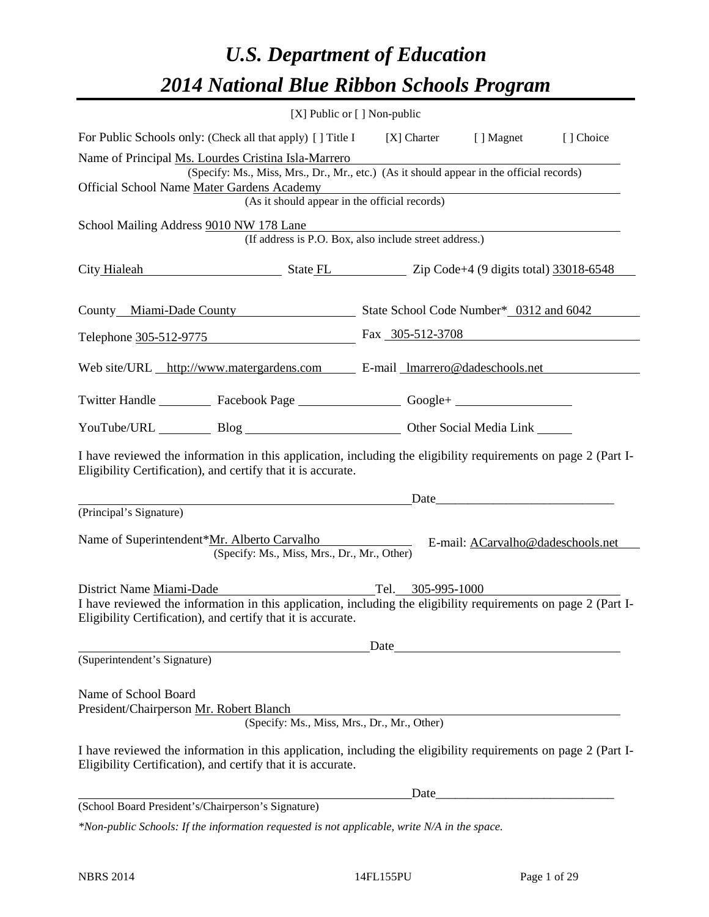# *U.S. Department of Education 2014 National Blue Ribbon Schools Program*

|                                                                                                                                                                                                                                                                                                                        | [X] Public or [] Non-public                            |                                                                                                                                                                                                                               |            |  |  |  |  |  |
|------------------------------------------------------------------------------------------------------------------------------------------------------------------------------------------------------------------------------------------------------------------------------------------------------------------------|--------------------------------------------------------|-------------------------------------------------------------------------------------------------------------------------------------------------------------------------------------------------------------------------------|------------|--|--|--|--|--|
| For Public Schools only: (Check all that apply) [] Title I [X] Charter [] Magnet                                                                                                                                                                                                                                       |                                                        |                                                                                                                                                                                                                               | [ ] Choice |  |  |  |  |  |
| Name of Principal Ms. Lourdes Cristina Isla-Marrero<br>(Specify: Ms., Miss, Mrs., Dr., Mr., etc.) (As it should appear in the official records)<br>Official School Name Mater Gardens Academy<br><u> 1980 - Johann Barn, mars ann an t-Amhain Aonaichte ann an t-Aonaichte ann an t-Aonaichte ann an t-Aonaichte a</u> |                                                        |                                                                                                                                                                                                                               |            |  |  |  |  |  |
| (As it should appear in the official records)                                                                                                                                                                                                                                                                          |                                                        |                                                                                                                                                                                                                               |            |  |  |  |  |  |
| School Mailing Address 9010 NW 178 Lane                                                                                                                                                                                                                                                                                | (If address is P.O. Box, also include street address.) |                                                                                                                                                                                                                               |            |  |  |  |  |  |
| City Hialeah State FL Zip Code+4 (9 digits total) 33018-6548                                                                                                                                                                                                                                                           |                                                        |                                                                                                                                                                                                                               |            |  |  |  |  |  |
| County Miami-Dade County State School Code Number* 0312 and 6042                                                                                                                                                                                                                                                       |                                                        |                                                                                                                                                                                                                               |            |  |  |  |  |  |
| Telephone 305-512-9775 Fax 305-512-3708                                                                                                                                                                                                                                                                                |                                                        |                                                                                                                                                                                                                               |            |  |  |  |  |  |
| Web site/URL http://www.matergardens.com E-mail Imarrero@dadeschools.net                                                                                                                                                                                                                                               |                                                        |                                                                                                                                                                                                                               |            |  |  |  |  |  |
| Twitter Handle ___________ Facebook Page __________________ Google+ ____________                                                                                                                                                                                                                                       |                                                        |                                                                                                                                                                                                                               |            |  |  |  |  |  |
| YouTube/URL Blog Blog Discount Cher Social Media Link                                                                                                                                                                                                                                                                  |                                                        |                                                                                                                                                                                                                               |            |  |  |  |  |  |
| I have reviewed the information in this application, including the eligibility requirements on page 2 (Part I-<br>Eligibility Certification), and certify that it is accurate.                                                                                                                                         |                                                        |                                                                                                                                                                                                                               |            |  |  |  |  |  |
|                                                                                                                                                                                                                                                                                                                        |                                                        | Date and the same state of the state of the state of the state of the state of the state of the state of the state of the state of the state of the state of the state of the state of the state of the state of the state of |            |  |  |  |  |  |
| (Principal's Signature)<br>Name of Superintendent*Mr. Alberto Carvalho<br>(Specify: Ms., Miss, Mrs., Dr., Mr., Other)                                                                                                                                                                                                  |                                                        | E-mail: ACarvalho@dadeschools.net                                                                                                                                                                                             |            |  |  |  |  |  |
| District Name Miami-Dade<br>I have reviewed the information in this application, including the eligibility requirements on page 2 (Part I-<br>Eligibility Certification), and certify that it is accurate.                                                                                                             | Tel. 305-995-1000                                      |                                                                                                                                                                                                                               |            |  |  |  |  |  |
|                                                                                                                                                                                                                                                                                                                        | Date                                                   |                                                                                                                                                                                                                               |            |  |  |  |  |  |
| (Superintendent's Signature)                                                                                                                                                                                                                                                                                           |                                                        |                                                                                                                                                                                                                               |            |  |  |  |  |  |
| Name of School Board<br>President/Chairperson Mr. Robert Blanch                                                                                                                                                                                                                                                        | (Specify: Ms., Miss, Mrs., Dr., Mr., Other)            |                                                                                                                                                                                                                               |            |  |  |  |  |  |
| I have reviewed the information in this application, including the eligibility requirements on page 2 (Part I-<br>Eligibility Certification), and certify that it is accurate.                                                                                                                                         |                                                        |                                                                                                                                                                                                                               |            |  |  |  |  |  |
|                                                                                                                                                                                                                                                                                                                        | Date                                                   |                                                                                                                                                                                                                               |            |  |  |  |  |  |
| (School Board President's/Chairperson's Signature)                                                                                                                                                                                                                                                                     |                                                        |                                                                                                                                                                                                                               |            |  |  |  |  |  |
| $*$ Non-public Schools: If the information requested is not applicable, write N/A in the space.                                                                                                                                                                                                                        |                                                        |                                                                                                                                                                                                                               |            |  |  |  |  |  |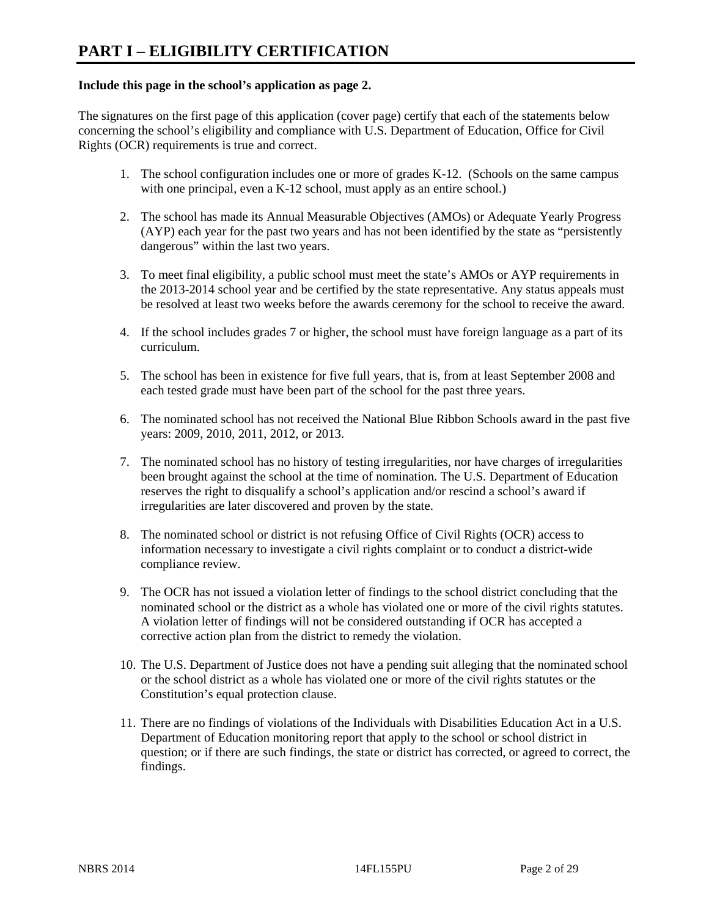#### **Include this page in the school's application as page 2.**

The signatures on the first page of this application (cover page) certify that each of the statements below concerning the school's eligibility and compliance with U.S. Department of Education, Office for Civil Rights (OCR) requirements is true and correct.

- 1. The school configuration includes one or more of grades K-12. (Schools on the same campus with one principal, even a K-12 school, must apply as an entire school.)
- 2. The school has made its Annual Measurable Objectives (AMOs) or Adequate Yearly Progress (AYP) each year for the past two years and has not been identified by the state as "persistently dangerous" within the last two years.
- 3. To meet final eligibility, a public school must meet the state's AMOs or AYP requirements in the 2013-2014 school year and be certified by the state representative. Any status appeals must be resolved at least two weeks before the awards ceremony for the school to receive the award.
- 4. If the school includes grades 7 or higher, the school must have foreign language as a part of its curriculum.
- 5. The school has been in existence for five full years, that is, from at least September 2008 and each tested grade must have been part of the school for the past three years.
- 6. The nominated school has not received the National Blue Ribbon Schools award in the past five years: 2009, 2010, 2011, 2012, or 2013.
- 7. The nominated school has no history of testing irregularities, nor have charges of irregularities been brought against the school at the time of nomination. The U.S. Department of Education reserves the right to disqualify a school's application and/or rescind a school's award if irregularities are later discovered and proven by the state.
- 8. The nominated school or district is not refusing Office of Civil Rights (OCR) access to information necessary to investigate a civil rights complaint or to conduct a district-wide compliance review.
- 9. The OCR has not issued a violation letter of findings to the school district concluding that the nominated school or the district as a whole has violated one or more of the civil rights statutes. A violation letter of findings will not be considered outstanding if OCR has accepted a corrective action plan from the district to remedy the violation.
- 10. The U.S. Department of Justice does not have a pending suit alleging that the nominated school or the school district as a whole has violated one or more of the civil rights statutes or the Constitution's equal protection clause.
- 11. There are no findings of violations of the Individuals with Disabilities Education Act in a U.S. Department of Education monitoring report that apply to the school or school district in question; or if there are such findings, the state or district has corrected, or agreed to correct, the findings.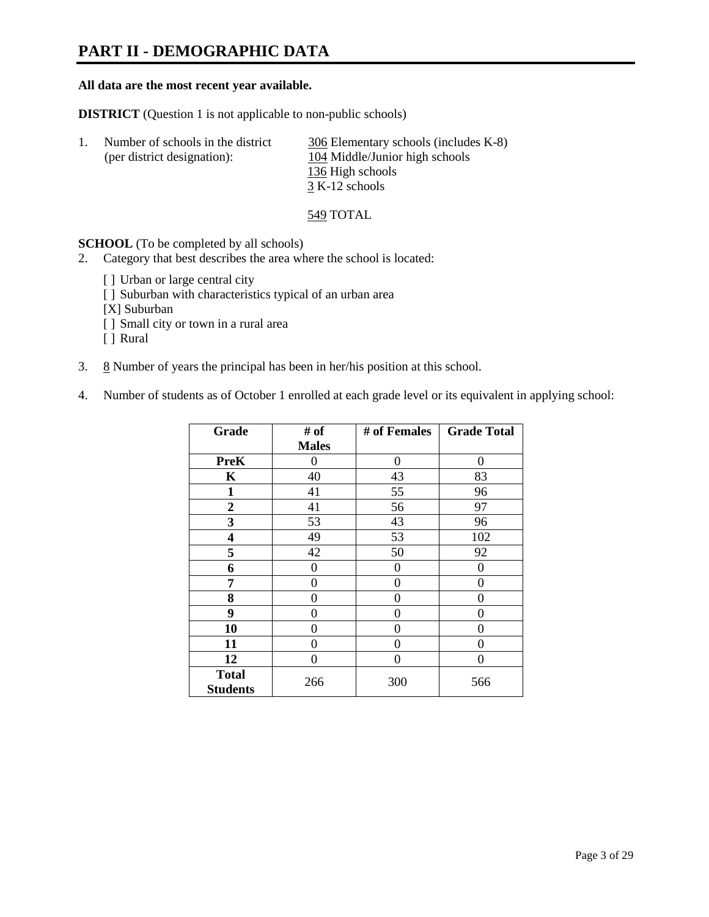# **PART II - DEMOGRAPHIC DATA**

#### **All data are the most recent year available.**

**DISTRICT** (Question 1 is not applicable to non-public schools)

| Number of schools in the district | 306 Elementary schools (includes K-8) |
|-----------------------------------|---------------------------------------|
| (per district designation):       | 104 Middle/Junior high schools        |
|                                   | 136 High schools                      |
|                                   | 3 K-12 schools                        |

549 TOTAL

**SCHOOL** (To be completed by all schools)

- 2. Category that best describes the area where the school is located:
	- [] Urban or large central city
	- [ ] Suburban with characteristics typical of an urban area
	- [X] Suburban
	- [ ] Small city or town in a rural area
	- [ ] Rural
- 3.  $8$  Number of years the principal has been in her/his position at this school.
- 4. Number of students as of October 1 enrolled at each grade level or its equivalent in applying school:

| Grade                           | # of         | # of Females | <b>Grade Total</b> |
|---------------------------------|--------------|--------------|--------------------|
|                                 | <b>Males</b> |              |                    |
| <b>PreK</b>                     | 0            | $\theta$     | $\Omega$           |
| K                               | 40           | 43           | 83                 |
| $\mathbf{1}$                    | 41           | 55           | 96                 |
| $\mathbf{2}$                    | 41           | 56           | 97                 |
| 3                               | 53           | 43           | 96                 |
| 4                               | 49           | 53           | 102                |
| 5                               | 42           | 50           | 92                 |
| 6                               | 0            | 0            | $\theta$           |
| 7                               | 0            | $\theta$     | 0                  |
| 8                               | 0            | 0            | 0                  |
| 9                               | 0            | $\theta$     | 0                  |
| 10                              | 0            | $\Omega$     | 0                  |
| 11                              | 0            | 0            | 0                  |
| 12                              | 0            | 0            | 0                  |
| <b>Total</b><br><b>Students</b> | 266          | 300          | 566                |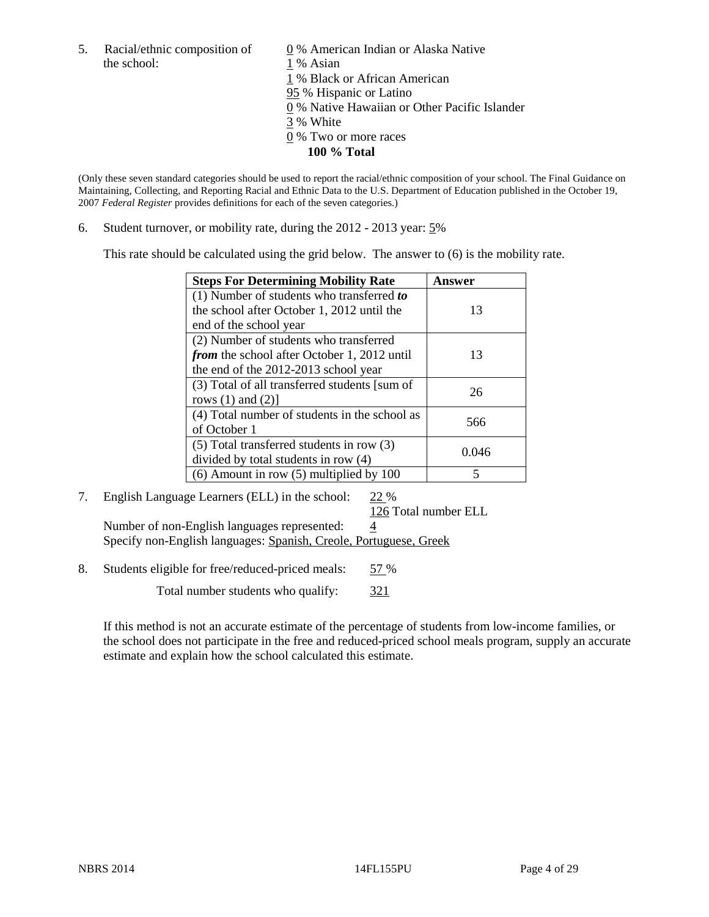the school: 1 % Asian

5. Racial/ethnic composition of  $\qquad \qquad \underline{0}$  % American Indian or Alaska Native 1 % Black or African American 95 % Hispanic or Latino 0 % Native Hawaiian or Other Pacific Islander 3 % White 0 % Two or more races **100 % Total** 

(Only these seven standard categories should be used to report the racial/ethnic composition of your school. The Final Guidance on Maintaining, Collecting, and Reporting Racial and Ethnic Data to the U.S. Department of Education published in the October 19, 2007 *Federal Register* provides definitions for each of the seven categories.)

6. Student turnover, or mobility rate, during the 2012 - 2013 year: 5%

This rate should be calculated using the grid below. The answer to (6) is the mobility rate.

| <b>Steps For Determining Mobility Rate</b>         | <b>Answer</b> |
|----------------------------------------------------|---------------|
| (1) Number of students who transferred to          |               |
| the school after October 1, 2012 until the         | 13            |
| end of the school year                             |               |
| (2) Number of students who transferred             |               |
| <i>from</i> the school after October 1, 2012 until | 13            |
| the end of the 2012-2013 school year               |               |
| (3) Total of all transferred students [sum of      | 26            |
| rows $(1)$ and $(2)$ ]                             |               |
| (4) Total number of students in the school as      | 566           |
| of October 1                                       |               |
| $(5)$ Total transferred students in row $(3)$      | 0.046         |
| divided by total students in row (4)               |               |
| $(6)$ Amount in row $(5)$ multiplied by 100        |               |

### 7. English Language Learners (ELL) in the school: 22 %

126 Total number ELL

Number of non-English languages represented:  $\frac{4}{5}$ Specify non-English languages: Spanish, Creole, Portuguese, Greek

8. Students eligible for free/reduced-priced meals: 57 %

Total number students who qualify: 321

If this method is not an accurate estimate of the percentage of students from low-income families, or the school does not participate in the free and reduced-priced school meals program, supply an accurate estimate and explain how the school calculated this estimate.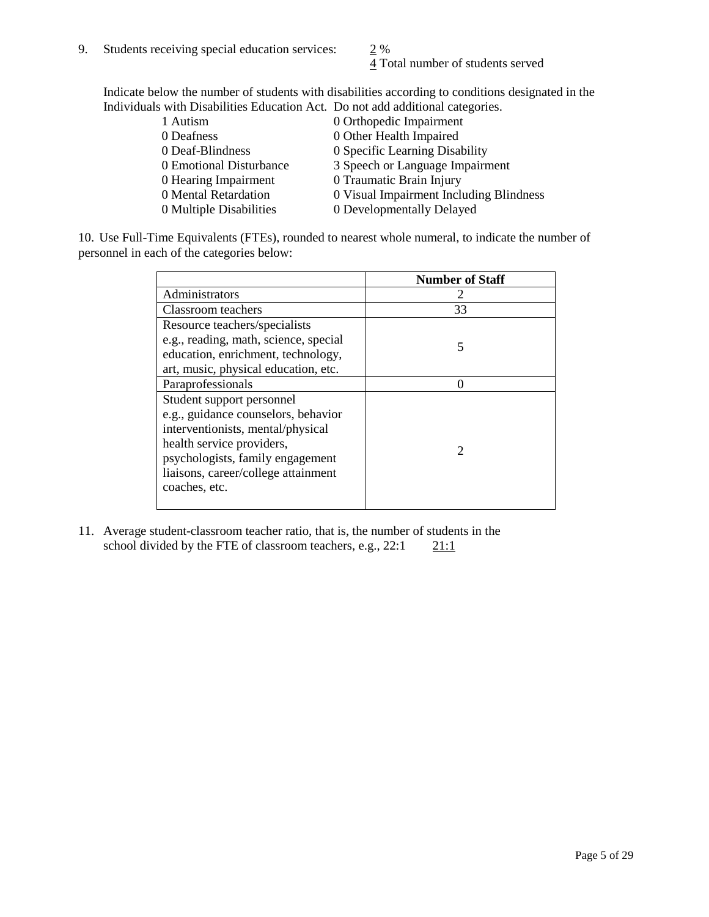4 Total number of students served

Indicate below the number of students with disabilities according to conditions designated in the Individuals with Disabilities Education Act. Do not add additional categories.

| 1 Autism                | 0 Orthopedic Impairment                 |
|-------------------------|-----------------------------------------|
| 0 Deafness              | 0 Other Health Impaired                 |
| 0 Deaf-Blindness        | 0 Specific Learning Disability          |
| 0 Emotional Disturbance | 3 Speech or Language Impairment         |
| 0 Hearing Impairment    | 0 Traumatic Brain Injury                |
| 0 Mental Retardation    | 0 Visual Impairment Including Blindness |
| 0 Multiple Disabilities | 0 Developmentally Delayed               |
|                         |                                         |

10. Use Full-Time Equivalents (FTEs), rounded to nearest whole numeral, to indicate the number of personnel in each of the categories below:

|                                       | <b>Number of Staff</b> |
|---------------------------------------|------------------------|
| Administrators                        |                        |
| Classroom teachers                    | 33                     |
| Resource teachers/specialists         |                        |
| e.g., reading, math, science, special | 5                      |
| education, enrichment, technology,    |                        |
| art, music, physical education, etc.  |                        |
| Paraprofessionals                     |                        |
| Student support personnel             |                        |
| e.g., guidance counselors, behavior   |                        |
| interventionists, mental/physical     |                        |
| health service providers,             |                        |
| psychologists, family engagement      |                        |
| liaisons, career/college attainment   |                        |
| coaches, etc.                         |                        |
|                                       |                        |

11. Average student-classroom teacher ratio, that is, the number of students in the school divided by the FTE of classroom teachers, e.g.,  $22:1$  21:1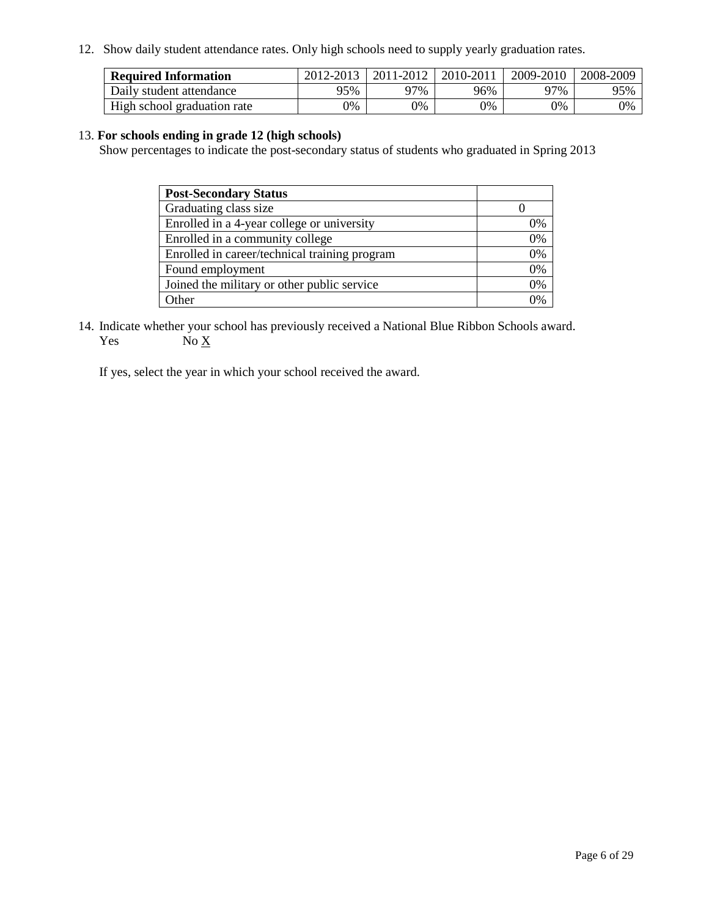12. Show daily student attendance rates. Only high schools need to supply yearly graduation rates.

| <b>Required Information</b> | 2012-2013 | 2011-2012 | 2010-2011 | 2009-2010 | 2008-2009 |
|-----------------------------|-----------|-----------|-----------|-----------|-----------|
| Daily student attendance    | 95%       | 97%       | 96%       | 97%       | 95%       |
| High school graduation rate | 0%        | 9%        | 0%        | 0%        | 0%        |

#### 13. **For schools ending in grade 12 (high schools)**

Show percentages to indicate the post-secondary status of students who graduated in Spring 2013

| <b>Post-Secondary Status</b>                  |    |
|-----------------------------------------------|----|
| Graduating class size                         |    |
| Enrolled in a 4-year college or university    | 0% |
| Enrolled in a community college               | 0% |
| Enrolled in career/technical training program | 0% |
| Found employment                              | 0% |
| Joined the military or other public service   | 0% |
| <b>Other</b>                                  | 2% |

14. Indicate whether your school has previously received a National Blue Ribbon Schools award. Yes  $No \underline{X}$ 

If yes, select the year in which your school received the award.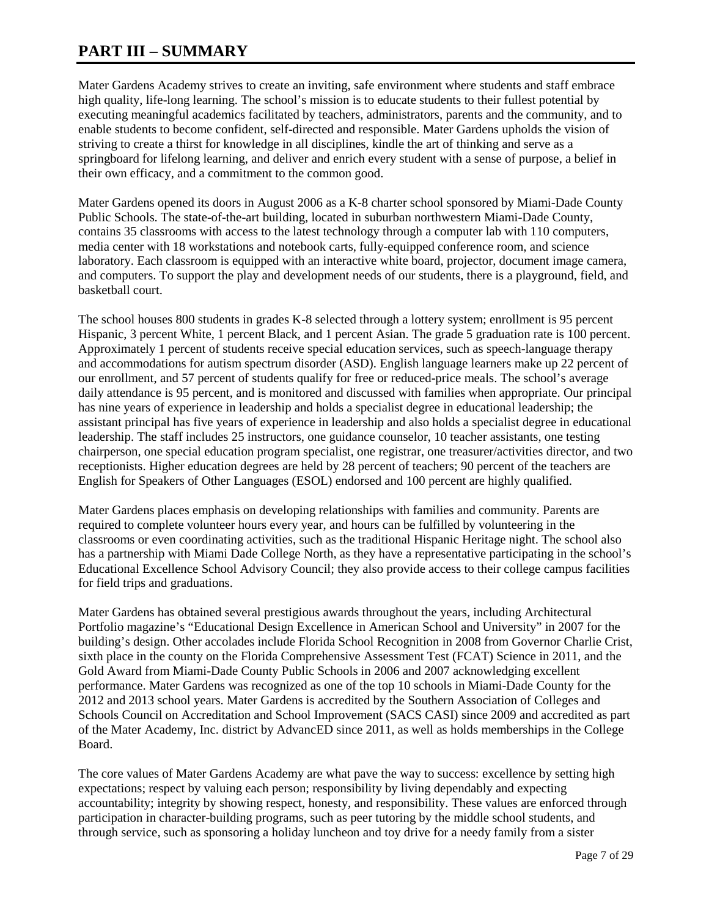# **PART III – SUMMARY**

Mater Gardens Academy strives to create an inviting, safe environment where students and staff embrace high quality, life-long learning. The school's mission is to educate students to their fullest potential by executing meaningful academics facilitated by teachers, administrators, parents and the community, and to enable students to become confident, self-directed and responsible. Mater Gardens upholds the vision of striving to create a thirst for knowledge in all disciplines, kindle the art of thinking and serve as a springboard for lifelong learning, and deliver and enrich every student with a sense of purpose, a belief in their own efficacy, and a commitment to the common good.

Mater Gardens opened its doors in August 2006 as a K-8 charter school sponsored by Miami-Dade County Public Schools. The state-of-the-art building, located in suburban northwestern Miami-Dade County, contains 35 classrooms with access to the latest technology through a computer lab with 110 computers, media center with 18 workstations and notebook carts, fully-equipped conference room, and science laboratory. Each classroom is equipped with an interactive white board, projector, document image camera, and computers. To support the play and development needs of our students, there is a playground, field, and basketball court.

The school houses 800 students in grades K-8 selected through a lottery system; enrollment is 95 percent Hispanic, 3 percent White, 1 percent Black, and 1 percent Asian. The grade 5 graduation rate is 100 percent. Approximately 1 percent of students receive special education services, such as speech-language therapy and accommodations for autism spectrum disorder (ASD). English language learners make up 22 percent of our enrollment, and 57 percent of students qualify for free or reduced-price meals. The school's average daily attendance is 95 percent, and is monitored and discussed with families when appropriate. Our principal has nine years of experience in leadership and holds a specialist degree in educational leadership; the assistant principal has five years of experience in leadership and also holds a specialist degree in educational leadership. The staff includes 25 instructors, one guidance counselor, 10 teacher assistants, one testing chairperson, one special education program specialist, one registrar, one treasurer/activities director, and two receptionists. Higher education degrees are held by 28 percent of teachers; 90 percent of the teachers are English for Speakers of Other Languages (ESOL) endorsed and 100 percent are highly qualified.

Mater Gardens places emphasis on developing relationships with families and community. Parents are required to complete volunteer hours every year, and hours can be fulfilled by volunteering in the classrooms or even coordinating activities, such as the traditional Hispanic Heritage night. The school also has a partnership with Miami Dade College North, as they have a representative participating in the school's Educational Excellence School Advisory Council; they also provide access to their college campus facilities for field trips and graduations.

Mater Gardens has obtained several prestigious awards throughout the years, including Architectural Portfolio magazine's "Educational Design Excellence in American School and University" in 2007 for the building's design. Other accolades include Florida School Recognition in 2008 from Governor Charlie Crist, sixth place in the county on the Florida Comprehensive Assessment Test (FCAT) Science in 2011, and the Gold Award from Miami-Dade County Public Schools in 2006 and 2007 acknowledging excellent performance. Mater Gardens was recognized as one of the top 10 schools in Miami-Dade County for the 2012 and 2013 school years. Mater Gardens is accredited by the Southern Association of Colleges and Schools Council on Accreditation and School Improvement (SACS CASI) since 2009 and accredited as part of the Mater Academy, Inc. district by AdvancED since 2011, as well as holds memberships in the College Board.

The core values of Mater Gardens Academy are what pave the way to success: excellence by setting high expectations; respect by valuing each person; responsibility by living dependably and expecting accountability; integrity by showing respect, honesty, and responsibility. These values are enforced through participation in character-building programs, such as peer tutoring by the middle school students, and through service, such as sponsoring a holiday luncheon and toy drive for a needy family from a sister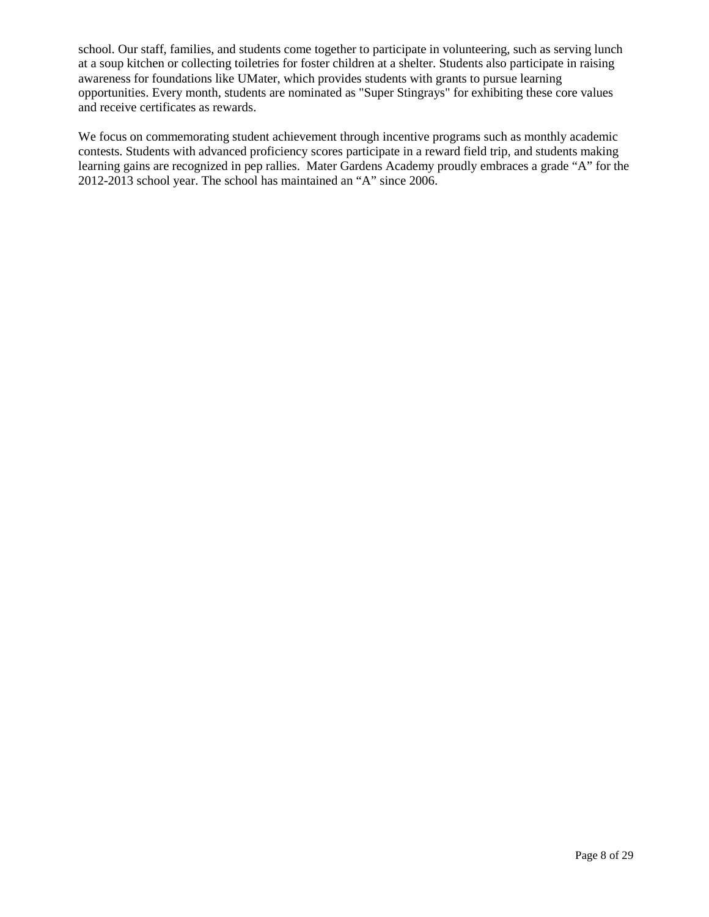school. Our staff, families, and students come together to participate in volunteering, such as serving lunch at a soup kitchen or collecting toiletries for foster children at a shelter. Students also participate in raising awareness for foundations like UMater, which provides students with grants to pursue learning opportunities. Every month, students are nominated as "Super Stingrays" for exhibiting these core values and receive certificates as rewards.

We focus on commemorating student achievement through incentive programs such as monthly academic contests. Students with advanced proficiency scores participate in a reward field trip, and students making learning gains are recognized in pep rallies. Mater Gardens Academy proudly embraces a grade "A" for the 2012-2013 school year. The school has maintained an "A" since 2006.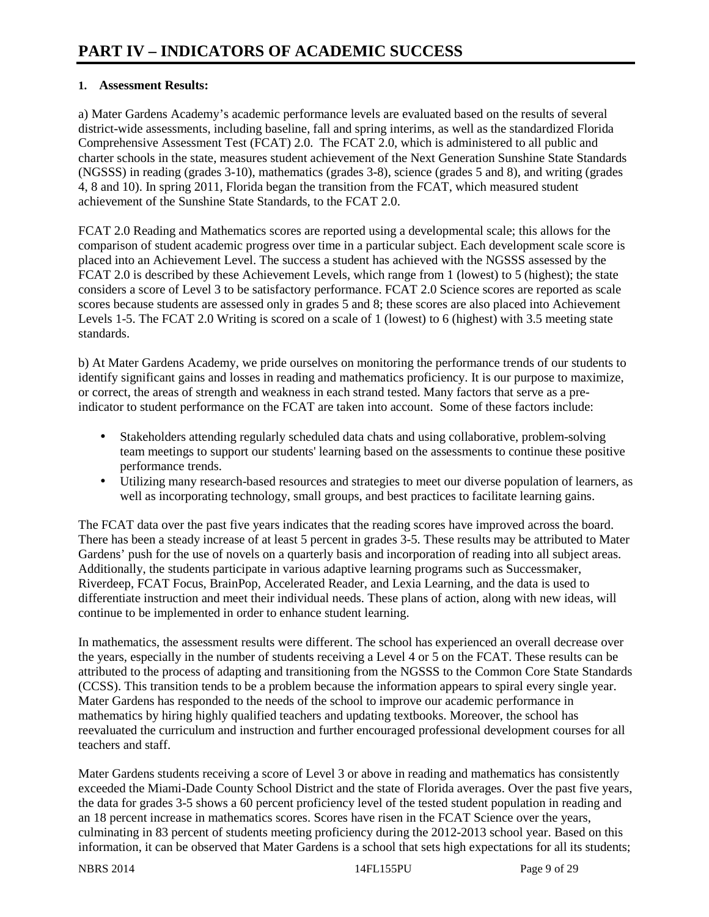### **1. Assessment Results:**

a) Mater Gardens Academy's academic performance levels are evaluated based on the results of several district-wide assessments, including baseline, fall and spring interims, as well as the standardized Florida Comprehensive Assessment Test (FCAT) 2.0. The FCAT 2.0, which is administered to all public and charter schools in the state, measures student achievement of the Next Generation Sunshine State Standards (NGSSS) in reading (grades 3-10), mathematics (grades 3-8), science (grades 5 and 8), and writing (grades 4, 8 and 10). In spring 2011, Florida began the transition from the FCAT, which measured student achievement of the Sunshine State Standards, to the FCAT 2.0.

FCAT 2.0 Reading and Mathematics scores are reported using a developmental scale; this allows for the comparison of student academic progress over time in a particular subject. Each development scale score is placed into an Achievement Level. The success a student has achieved with the NGSSS assessed by the FCAT 2.0 is described by these Achievement Levels, which range from 1 (lowest) to 5 (highest); the state considers a score of Level 3 to be satisfactory performance. FCAT 2.0 Science scores are reported as scale scores because students are assessed only in grades 5 and 8; these scores are also placed into Achievement Levels 1-5. The FCAT 2.0 Writing is scored on a scale of 1 (lowest) to 6 (highest) with 3.5 meeting state standards.

b) At Mater Gardens Academy, we pride ourselves on monitoring the performance trends of our students to identify significant gains and losses in reading and mathematics proficiency. It is our purpose to maximize, or correct, the areas of strength and weakness in each strand tested. Many factors that serve as a preindicator to student performance on the FCAT are taken into account. Some of these factors include:

- Stakeholders attending regularly scheduled data chats and using collaborative, problem-solving team meetings to support our students' learning based on the assessments to continue these positive performance trends.
- Utilizing many research-based resources and strategies to meet our diverse population of learners, as well as incorporating technology, small groups, and best practices to facilitate learning gains.

The FCAT data over the past five years indicates that the reading scores have improved across the board. There has been a steady increase of at least 5 percent in grades 3-5. These results may be attributed to Mater Gardens' push for the use of novels on a quarterly basis and incorporation of reading into all subject areas. Additionally, the students participate in various adaptive learning programs such as Successmaker, Riverdeep, FCAT Focus, BrainPop, Accelerated Reader, and Lexia Learning, and the data is used to differentiate instruction and meet their individual needs. These plans of action, along with new ideas, will continue to be implemented in order to enhance student learning.

In mathematics, the assessment results were different. The school has experienced an overall decrease over the years, especially in the number of students receiving a Level 4 or 5 on the FCAT. These results can be attributed to the process of adapting and transitioning from the NGSSS to the Common Core State Standards (CCSS). This transition tends to be a problem because the information appears to spiral every single year. Mater Gardens has responded to the needs of the school to improve our academic performance in mathematics by hiring highly qualified teachers and updating textbooks. Moreover, the school has reevaluated the curriculum and instruction and further encouraged professional development courses for all teachers and staff.

Mater Gardens students receiving a score of Level 3 or above in reading and mathematics has consistently exceeded the Miami-Dade County School District and the state of Florida averages. Over the past five years, the data for grades 3-5 shows a 60 percent proficiency level of the tested student population in reading and an 18 percent increase in mathematics scores. Scores have risen in the FCAT Science over the years, culminating in 83 percent of students meeting proficiency during the 2012-2013 school year. Based on this information, it can be observed that Mater Gardens is a school that sets high expectations for all its students;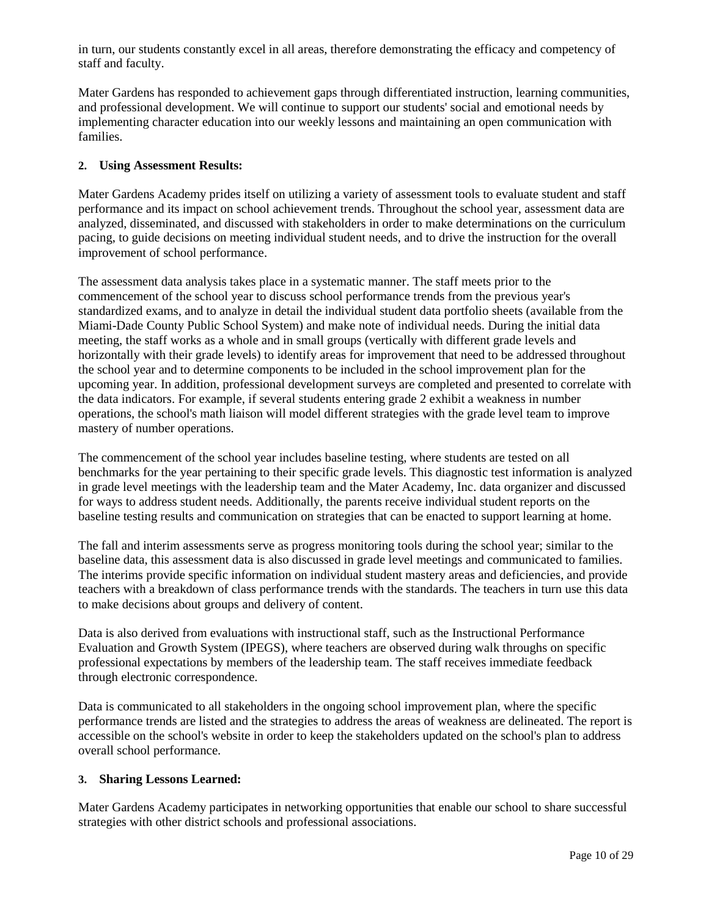in turn, our students constantly excel in all areas, therefore demonstrating the efficacy and competency of staff and faculty.

Mater Gardens has responded to achievement gaps through differentiated instruction, learning communities, and professional development. We will continue to support our students' social and emotional needs by implementing character education into our weekly lessons and maintaining an open communication with families.

#### **2. Using Assessment Results:**

Mater Gardens Academy prides itself on utilizing a variety of assessment tools to evaluate student and staff performance and its impact on school achievement trends. Throughout the school year, assessment data are analyzed, disseminated, and discussed with stakeholders in order to make determinations on the curriculum pacing, to guide decisions on meeting individual student needs, and to drive the instruction for the overall improvement of school performance.

The assessment data analysis takes place in a systematic manner. The staff meets prior to the commencement of the school year to discuss school performance trends from the previous year's standardized exams, and to analyze in detail the individual student data portfolio sheets (available from the Miami-Dade County Public School System) and make note of individual needs. During the initial data meeting, the staff works as a whole and in small groups (vertically with different grade levels and horizontally with their grade levels) to identify areas for improvement that need to be addressed throughout the school year and to determine components to be included in the school improvement plan for the upcoming year. In addition, professional development surveys are completed and presented to correlate with the data indicators. For example, if several students entering grade 2 exhibit a weakness in number operations, the school's math liaison will model different strategies with the grade level team to improve mastery of number operations.

The commencement of the school year includes baseline testing, where students are tested on all benchmarks for the year pertaining to their specific grade levels. This diagnostic test information is analyzed in grade level meetings with the leadership team and the Mater Academy, Inc. data organizer and discussed for ways to address student needs. Additionally, the parents receive individual student reports on the baseline testing results and communication on strategies that can be enacted to support learning at home.

The fall and interim assessments serve as progress monitoring tools during the school year; similar to the baseline data, this assessment data is also discussed in grade level meetings and communicated to families. The interims provide specific information on individual student mastery areas and deficiencies, and provide teachers with a breakdown of class performance trends with the standards. The teachers in turn use this data to make decisions about groups and delivery of content.

Data is also derived from evaluations with instructional staff, such as the Instructional Performance Evaluation and Growth System (IPEGS), where teachers are observed during walk throughs on specific professional expectations by members of the leadership team. The staff receives immediate feedback through electronic correspondence.

Data is communicated to all stakeholders in the ongoing school improvement plan, where the specific performance trends are listed and the strategies to address the areas of weakness are delineated. The report is accessible on the school's website in order to keep the stakeholders updated on the school's plan to address overall school performance.

#### **3. Sharing Lessons Learned:**

Mater Gardens Academy participates in networking opportunities that enable our school to share successful strategies with other district schools and professional associations.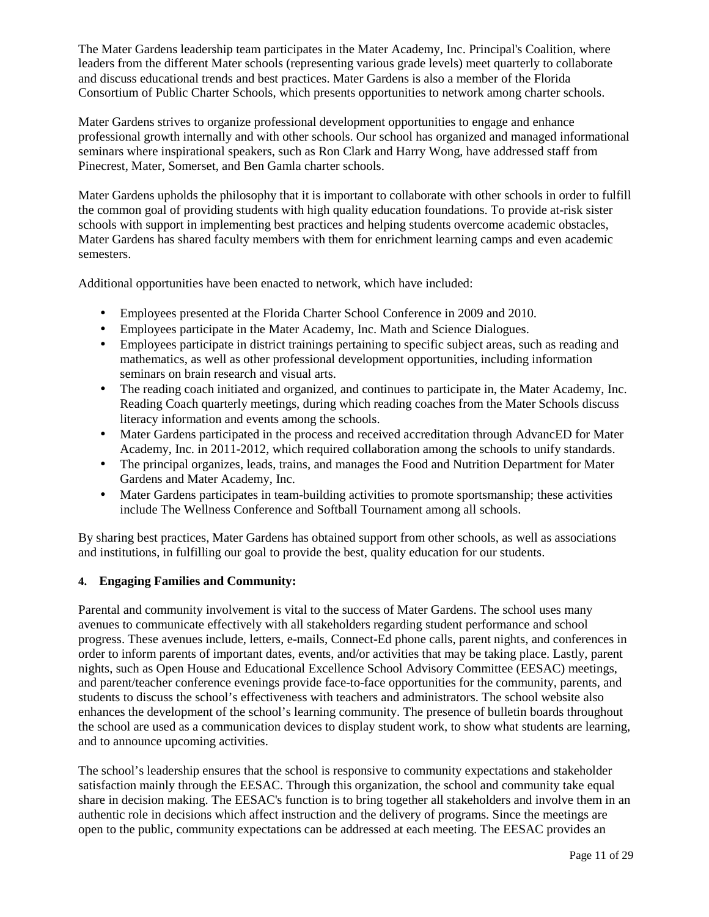The Mater Gardens leadership team participates in the Mater Academy, Inc. Principal's Coalition, where leaders from the different Mater schools (representing various grade levels) meet quarterly to collaborate and discuss educational trends and best practices. Mater Gardens is also a member of the Florida Consortium of Public Charter Schools, which presents opportunities to network among charter schools.

Mater Gardens strives to organize professional development opportunities to engage and enhance professional growth internally and with other schools. Our school has organized and managed informational seminars where inspirational speakers, such as Ron Clark and Harry Wong, have addressed staff from Pinecrest, Mater, Somerset, and Ben Gamla charter schools.

Mater Gardens upholds the philosophy that it is important to collaborate with other schools in order to fulfill the common goal of providing students with high quality education foundations. To provide at-risk sister schools with support in implementing best practices and helping students overcome academic obstacles, Mater Gardens has shared faculty members with them for enrichment learning camps and even academic semesters.

Additional opportunities have been enacted to network, which have included:

- Employees presented at the Florida Charter School Conference in 2009 and 2010.
- Employees participate in the Mater Academy, Inc. Math and Science Dialogues.
- Employees participate in district trainings pertaining to specific subject areas, such as reading and mathematics, as well as other professional development opportunities, including information seminars on brain research and visual arts.
- The reading coach initiated and organized, and continues to participate in, the Mater Academy, Inc. Reading Coach quarterly meetings, during which reading coaches from the Mater Schools discuss literacy information and events among the schools.
- Mater Gardens participated in the process and received accreditation through AdvancED for Mater Academy, Inc. in 2011-2012, which required collaboration among the schools to unify standards.
- The principal organizes, leads, trains, and manages the Food and Nutrition Department for Mater Gardens and Mater Academy, Inc.
- Mater Gardens participates in team-building activities to promote sportsmanship; these activities include The Wellness Conference and Softball Tournament among all schools.

By sharing best practices, Mater Gardens has obtained support from other schools, as well as associations and institutions, in fulfilling our goal to provide the best, quality education for our students.

#### **4. Engaging Families and Community:**

Parental and community involvement is vital to the success of Mater Gardens. The school uses many avenues to communicate effectively with all stakeholders regarding student performance and school progress. These avenues include, letters, e-mails, Connect-Ed phone calls, parent nights, and conferences in order to inform parents of important dates, events, and/or activities that may be taking place. Lastly, parent nights, such as Open House and Educational Excellence School Advisory Committee (EESAC) meetings, and parent/teacher conference evenings provide face-to-face opportunities for the community, parents, and students to discuss the school's effectiveness with teachers and administrators. The school website also enhances the development of the school's learning community. The presence of bulletin boards throughout the school are used as a communication devices to display student work, to show what students are learning, and to announce upcoming activities.

The school's leadership ensures that the school is responsive to community expectations and stakeholder satisfaction mainly through the EESAC. Through this organization, the school and community take equal share in decision making. The EESAC's function is to bring together all stakeholders and involve them in an authentic role in decisions which affect instruction and the delivery of programs. Since the meetings are open to the public, community expectations can be addressed at each meeting. The EESAC provides an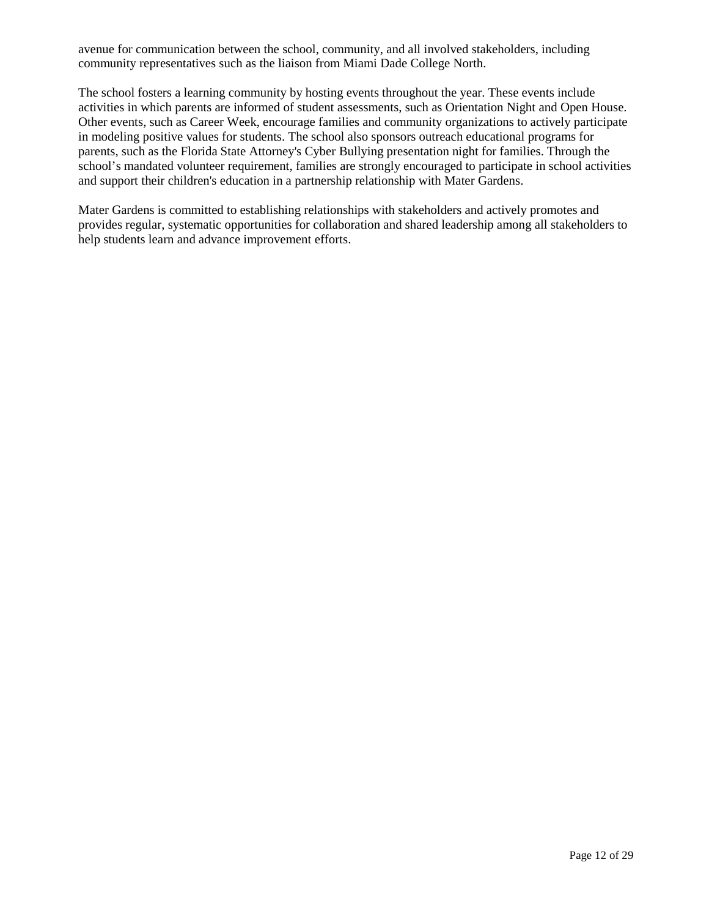avenue for communication between the school, community, and all involved stakeholders, including community representatives such as the liaison from Miami Dade College North.

The school fosters a learning community by hosting events throughout the year. These events include activities in which parents are informed of student assessments, such as Orientation Night and Open House. Other events, such as Career Week, encourage families and community organizations to actively participate in modeling positive values for students. The school also sponsors outreach educational programs for parents, such as the Florida State Attorney's Cyber Bullying presentation night for families. Through the school's mandated volunteer requirement, families are strongly encouraged to participate in school activities and support their children's education in a partnership relationship with Mater Gardens.

Mater Gardens is committed to establishing relationships with stakeholders and actively promotes and provides regular, systematic opportunities for collaboration and shared leadership among all stakeholders to help students learn and advance improvement efforts.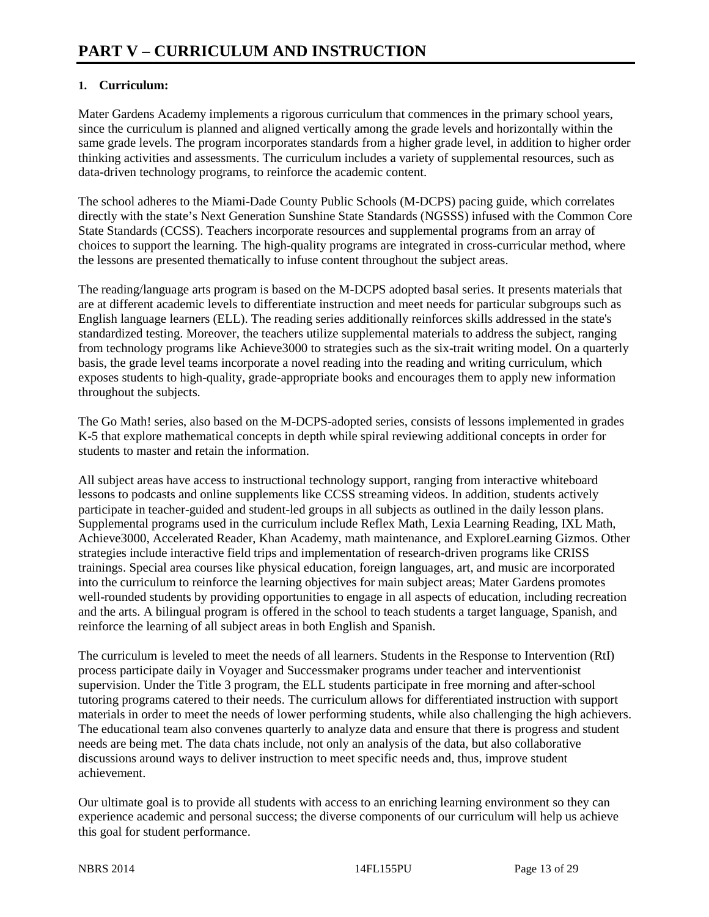## **1. Curriculum:**

Mater Gardens Academy implements a rigorous curriculum that commences in the primary school years, since the curriculum is planned and aligned vertically among the grade levels and horizontally within the same grade levels. The program incorporates standards from a higher grade level, in addition to higher order thinking activities and assessments. The curriculum includes a variety of supplemental resources, such as data-driven technology programs, to reinforce the academic content.

The school adheres to the Miami-Dade County Public Schools (M-DCPS) pacing guide, which correlates directly with the state's Next Generation Sunshine State Standards (NGSSS) infused with the Common Core State Standards (CCSS). Teachers incorporate resources and supplemental programs from an array of choices to support the learning. The high-quality programs are integrated in cross-curricular method, where the lessons are presented thematically to infuse content throughout the subject areas.

The reading/language arts program is based on the M-DCPS adopted basal series. It presents materials that are at different academic levels to differentiate instruction and meet needs for particular subgroups such as English language learners (ELL). The reading series additionally reinforces skills addressed in the state's standardized testing. Moreover, the teachers utilize supplemental materials to address the subject, ranging from technology programs like Achieve3000 to strategies such as the six-trait writing model. On a quarterly basis, the grade level teams incorporate a novel reading into the reading and writing curriculum, which exposes students to high-quality, grade-appropriate books and encourages them to apply new information throughout the subjects.

The Go Math! series, also based on the M-DCPS-adopted series, consists of lessons implemented in grades K-5 that explore mathematical concepts in depth while spiral reviewing additional concepts in order for students to master and retain the information.

All subject areas have access to instructional technology support, ranging from interactive whiteboard lessons to podcasts and online supplements like CCSS streaming videos. In addition, students actively participate in teacher-guided and student-led groups in all subjects as outlined in the daily lesson plans. Supplemental programs used in the curriculum include Reflex Math, Lexia Learning Reading, IXL Math, Achieve3000, Accelerated Reader, Khan Academy, math maintenance, and ExploreLearning Gizmos. Other strategies include interactive field trips and implementation of research-driven programs like CRISS trainings. Special area courses like physical education, foreign languages, art, and music are incorporated into the curriculum to reinforce the learning objectives for main subject areas; Mater Gardens promotes well-rounded students by providing opportunities to engage in all aspects of education, including recreation and the arts. A bilingual program is offered in the school to teach students a target language, Spanish, and reinforce the learning of all subject areas in both English and Spanish.

The curriculum is leveled to meet the needs of all learners. Students in the Response to Intervention (RtI) process participate daily in Voyager and Successmaker programs under teacher and interventionist supervision. Under the Title 3 program, the ELL students participate in free morning and after-school tutoring programs catered to their needs. The curriculum allows for differentiated instruction with support materials in order to meet the needs of lower performing students, while also challenging the high achievers. The educational team also convenes quarterly to analyze data and ensure that there is progress and student needs are being met. The data chats include, not only an analysis of the data, but also collaborative discussions around ways to deliver instruction to meet specific needs and, thus, improve student achievement.

Our ultimate goal is to provide all students with access to an enriching learning environment so they can experience academic and personal success; the diverse components of our curriculum will help us achieve this goal for student performance.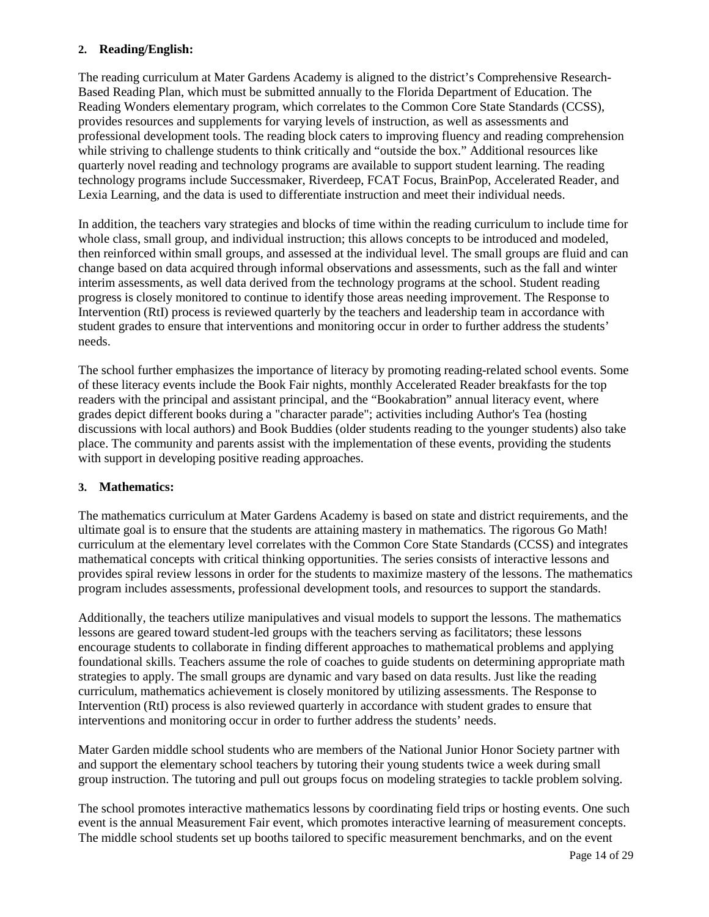#### **2. Reading/English:**

The reading curriculum at Mater Gardens Academy is aligned to the district's Comprehensive Research-Based Reading Plan, which must be submitted annually to the Florida Department of Education. The Reading Wonders elementary program, which correlates to the Common Core State Standards (CCSS), provides resources and supplements for varying levels of instruction, as well as assessments and professional development tools. The reading block caters to improving fluency and reading comprehension while striving to challenge students to think critically and "outside the box." Additional resources like quarterly novel reading and technology programs are available to support student learning. The reading technology programs include Successmaker, Riverdeep, FCAT Focus, BrainPop, Accelerated Reader, and Lexia Learning, and the data is used to differentiate instruction and meet their individual needs.

In addition, the teachers vary strategies and blocks of time within the reading curriculum to include time for whole class, small group, and individual instruction; this allows concepts to be introduced and modeled, then reinforced within small groups, and assessed at the individual level. The small groups are fluid and can change based on data acquired through informal observations and assessments, such as the fall and winter interim assessments, as well data derived from the technology programs at the school. Student reading progress is closely monitored to continue to identify those areas needing improvement. The Response to Intervention (RtI) process is reviewed quarterly by the teachers and leadership team in accordance with student grades to ensure that interventions and monitoring occur in order to further address the students' needs.

The school further emphasizes the importance of literacy by promoting reading-related school events. Some of these literacy events include the Book Fair nights, monthly Accelerated Reader breakfasts for the top readers with the principal and assistant principal, and the "Bookabration" annual literacy event, where grades depict different books during a "character parade"; activities including Author's Tea (hosting discussions with local authors) and Book Buddies (older students reading to the younger students) also take place. The community and parents assist with the implementation of these events, providing the students with support in developing positive reading approaches.

#### **3. Mathematics:**

The mathematics curriculum at Mater Gardens Academy is based on state and district requirements, and the ultimate goal is to ensure that the students are attaining mastery in mathematics. The rigorous Go Math! curriculum at the elementary level correlates with the Common Core State Standards (CCSS) and integrates mathematical concepts with critical thinking opportunities. The series consists of interactive lessons and provides spiral review lessons in order for the students to maximize mastery of the lessons. The mathematics program includes assessments, professional development tools, and resources to support the standards.

Additionally, the teachers utilize manipulatives and visual models to support the lessons. The mathematics lessons are geared toward student-led groups with the teachers serving as facilitators; these lessons encourage students to collaborate in finding different approaches to mathematical problems and applying foundational skills. Teachers assume the role of coaches to guide students on determining appropriate math strategies to apply. The small groups are dynamic and vary based on data results. Just like the reading curriculum, mathematics achievement is closely monitored by utilizing assessments. The Response to Intervention (RtI) process is also reviewed quarterly in accordance with student grades to ensure that interventions and monitoring occur in order to further address the students' needs.

Mater Garden middle school students who are members of the National Junior Honor Society partner with and support the elementary school teachers by tutoring their young students twice a week during small group instruction. The tutoring and pull out groups focus on modeling strategies to tackle problem solving.

The school promotes interactive mathematics lessons by coordinating field trips or hosting events. One such event is the annual Measurement Fair event, which promotes interactive learning of measurement concepts. The middle school students set up booths tailored to specific measurement benchmarks, and on the event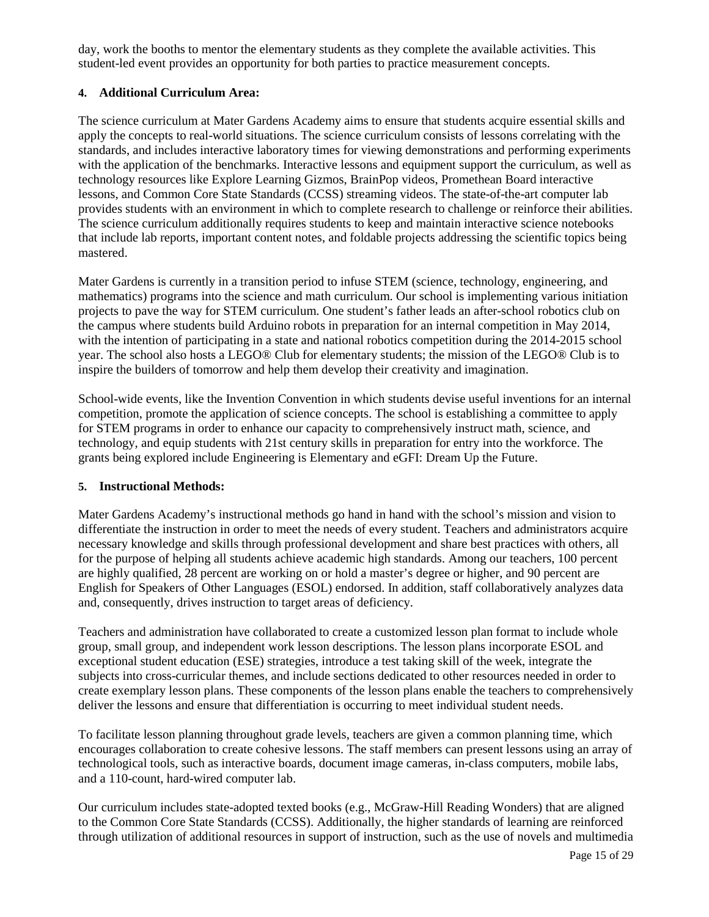day, work the booths to mentor the elementary students as they complete the available activities. This student-led event provides an opportunity for both parties to practice measurement concepts.

#### **4. Additional Curriculum Area:**

The science curriculum at Mater Gardens Academy aims to ensure that students acquire essential skills and apply the concepts to real-world situations. The science curriculum consists of lessons correlating with the standards, and includes interactive laboratory times for viewing demonstrations and performing experiments with the application of the benchmarks. Interactive lessons and equipment support the curriculum, as well as technology resources like Explore Learning Gizmos, BrainPop videos, Promethean Board interactive lessons, and Common Core State Standards (CCSS) streaming videos. The state-of-the-art computer lab provides students with an environment in which to complete research to challenge or reinforce their abilities. The science curriculum additionally requires students to keep and maintain interactive science notebooks that include lab reports, important content notes, and foldable projects addressing the scientific topics being mastered.

Mater Gardens is currently in a transition period to infuse STEM (science, technology, engineering, and mathematics) programs into the science and math curriculum. Our school is implementing various initiation projects to pave the way for STEM curriculum. One student's father leads an after-school robotics club on the campus where students build Arduino robots in preparation for an internal competition in May 2014, with the intention of participating in a state and national robotics competition during the 2014-2015 school year. The school also hosts a LEGO® Club for elementary students; the mission of the LEGO® Club is to inspire the builders of tomorrow and help them develop their creativity and imagination.

School-wide events, like the Invention Convention in which students devise useful inventions for an internal competition, promote the application of science concepts. The school is establishing a committee to apply for STEM programs in order to enhance our capacity to comprehensively instruct math, science, and technology, and equip students with 21st century skills in preparation for entry into the workforce. The grants being explored include Engineering is Elementary and eGFI: Dream Up the Future.

#### **5. Instructional Methods:**

Mater Gardens Academy's instructional methods go hand in hand with the school's mission and vision to differentiate the instruction in order to meet the needs of every student. Teachers and administrators acquire necessary knowledge and skills through professional development and share best practices with others, all for the purpose of helping all students achieve academic high standards. Among our teachers, 100 percent are highly qualified, 28 percent are working on or hold a master's degree or higher, and 90 percent are English for Speakers of Other Languages (ESOL) endorsed. In addition, staff collaboratively analyzes data and, consequently, drives instruction to target areas of deficiency.

Teachers and administration have collaborated to create a customized lesson plan format to include whole group, small group, and independent work lesson descriptions. The lesson plans incorporate ESOL and exceptional student education (ESE) strategies, introduce a test taking skill of the week, integrate the subjects into cross-curricular themes, and include sections dedicated to other resources needed in order to create exemplary lesson plans. These components of the lesson plans enable the teachers to comprehensively deliver the lessons and ensure that differentiation is occurring to meet individual student needs.

To facilitate lesson planning throughout grade levels, teachers are given a common planning time, which encourages collaboration to create cohesive lessons. The staff members can present lessons using an array of technological tools, such as interactive boards, document image cameras, in-class computers, mobile labs, and a 110-count, hard-wired computer lab.

Our curriculum includes state-adopted texted books (e.g., McGraw-Hill Reading Wonders) that are aligned to the Common Core State Standards (CCSS). Additionally, the higher standards of learning are reinforced through utilization of additional resources in support of instruction, such as the use of novels and multimedia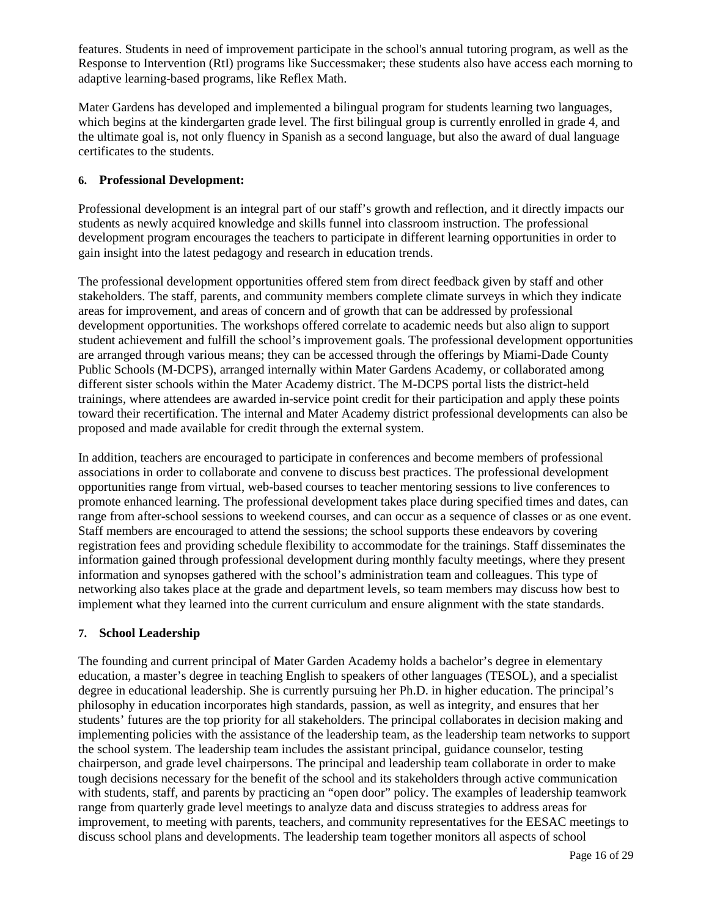features. Students in need of improvement participate in the school's annual tutoring program, as well as the Response to Intervention (RtI) programs like Successmaker; these students also have access each morning to adaptive learning-based programs, like Reflex Math.

Mater Gardens has developed and implemented a bilingual program for students learning two languages, which begins at the kindergarten grade level. The first bilingual group is currently enrolled in grade 4, and the ultimate goal is, not only fluency in Spanish as a second language, but also the award of dual language certificates to the students.

#### **6. Professional Development:**

Professional development is an integral part of our staff's growth and reflection, and it directly impacts our students as newly acquired knowledge and skills funnel into classroom instruction. The professional development program encourages the teachers to participate in different learning opportunities in order to gain insight into the latest pedagogy and research in education trends.

The professional development opportunities offered stem from direct feedback given by staff and other stakeholders. The staff, parents, and community members complete climate surveys in which they indicate areas for improvement, and areas of concern and of growth that can be addressed by professional development opportunities. The workshops offered correlate to academic needs but also align to support student achievement and fulfill the school's improvement goals. The professional development opportunities are arranged through various means; they can be accessed through the offerings by Miami-Dade County Public Schools (M-DCPS), arranged internally within Mater Gardens Academy, or collaborated among different sister schools within the Mater Academy district. The M-DCPS portal lists the district-held trainings, where attendees are awarded in-service point credit for their participation and apply these points toward their recertification. The internal and Mater Academy district professional developments can also be proposed and made available for credit through the external system.

In addition, teachers are encouraged to participate in conferences and become members of professional associations in order to collaborate and convene to discuss best practices. The professional development opportunities range from virtual, web-based courses to teacher mentoring sessions to live conferences to promote enhanced learning. The professional development takes place during specified times and dates, can range from after-school sessions to weekend courses, and can occur as a sequence of classes or as one event. Staff members are encouraged to attend the sessions; the school supports these endeavors by covering registration fees and providing schedule flexibility to accommodate for the trainings. Staff disseminates the information gained through professional development during monthly faculty meetings, where they present information and synopses gathered with the school's administration team and colleagues. This type of networking also takes place at the grade and department levels, so team members may discuss how best to implement what they learned into the current curriculum and ensure alignment with the state standards.

### **7. School Leadership**

The founding and current principal of Mater Garden Academy holds a bachelor's degree in elementary education, a master's degree in teaching English to speakers of other languages (TESOL), and a specialist degree in educational leadership. She is currently pursuing her Ph.D. in higher education. The principal's philosophy in education incorporates high standards, passion, as well as integrity, and ensures that her students' futures are the top priority for all stakeholders. The principal collaborates in decision making and implementing policies with the assistance of the leadership team, as the leadership team networks to support the school system. The leadership team includes the assistant principal, guidance counselor, testing chairperson, and grade level chairpersons. The principal and leadership team collaborate in order to make tough decisions necessary for the benefit of the school and its stakeholders through active communication with students, staff, and parents by practicing an "open door" policy. The examples of leadership teamwork range from quarterly grade level meetings to analyze data and discuss strategies to address areas for improvement, to meeting with parents, teachers, and community representatives for the EESAC meetings to discuss school plans and developments. The leadership team together monitors all aspects of school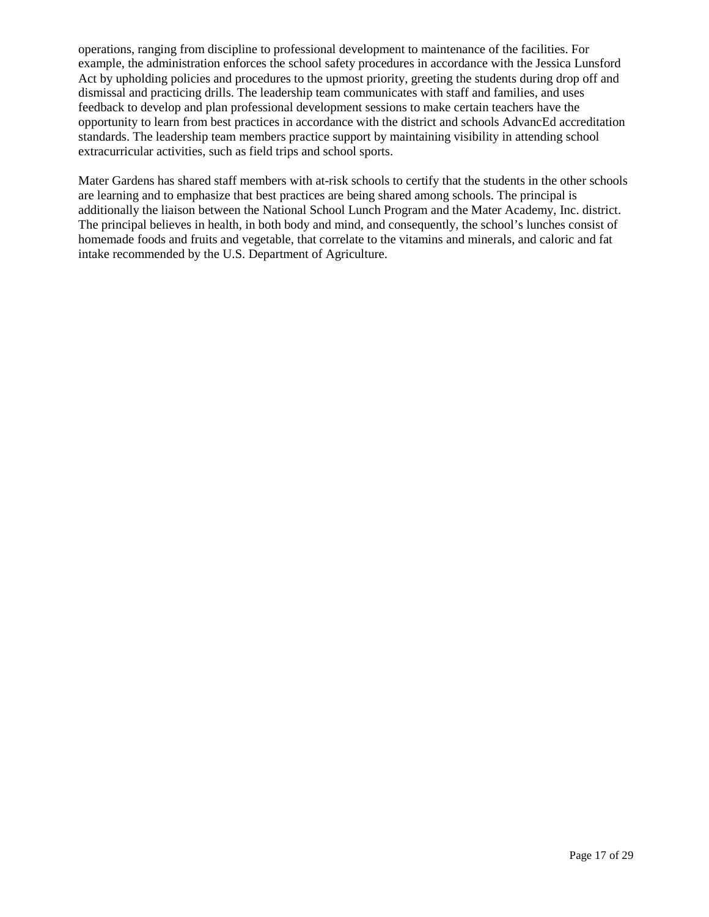operations, ranging from discipline to professional development to maintenance of the facilities. For example, the administration enforces the school safety procedures in accordance with the Jessica Lunsford Act by upholding policies and procedures to the upmost priority, greeting the students during drop off and dismissal and practicing drills. The leadership team communicates with staff and families, and uses feedback to develop and plan professional development sessions to make certain teachers have the opportunity to learn from best practices in accordance with the district and schools AdvancEd accreditation standards. The leadership team members practice support by maintaining visibility in attending school extracurricular activities, such as field trips and school sports.

Mater Gardens has shared staff members with at-risk schools to certify that the students in the other schools are learning and to emphasize that best practices are being shared among schools. The principal is additionally the liaison between the National School Lunch Program and the Mater Academy, Inc. district. The principal believes in health, in both body and mind, and consequently, the school's lunches consist of homemade foods and fruits and vegetable, that correlate to the vitamins and minerals, and caloric and fat intake recommended by the U.S. Department of Agriculture.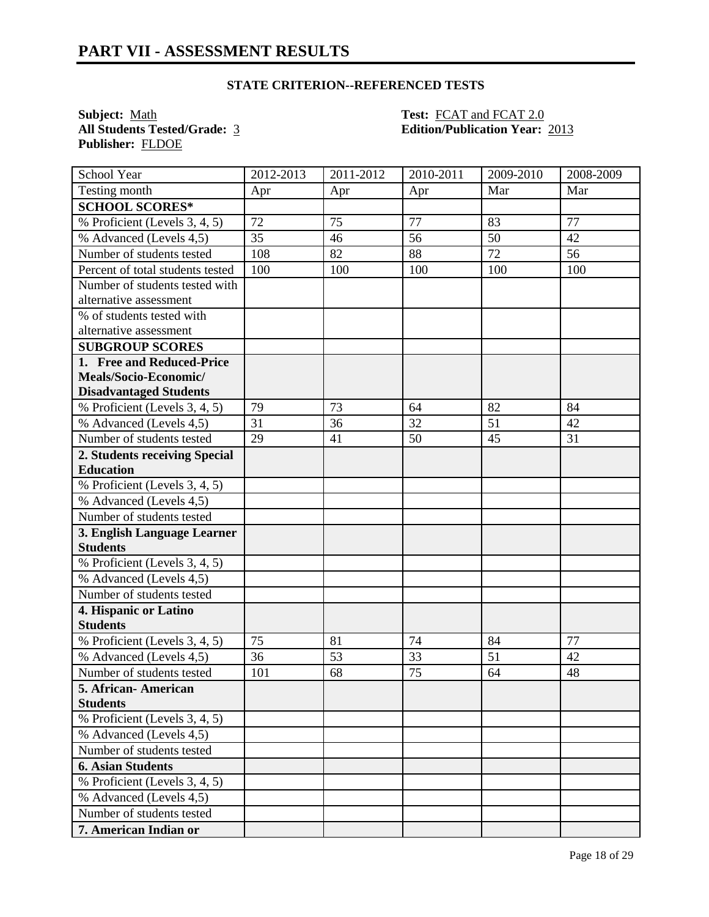**Subject:** <u>Math **Test: FCAT** and **FCAT** 2.0<br> **All Students Tested/Grade:** 3<br> **Edition/Publication Year:**</u> **Publisher:** FLDOE

**All Students Tested/Grade:** 3 **Edition/Publication Year:** 2013

| School Year                      | 2012-2013 | 2011-2012 | 2010-2011 | 2009-2010 | 2008-2009 |
|----------------------------------|-----------|-----------|-----------|-----------|-----------|
| Testing month                    | Apr       | Apr       | Apr       | Mar       | Mar       |
| <b>SCHOOL SCORES*</b>            |           |           |           |           |           |
| % Proficient (Levels 3, 4, 5)    | 72        | 75        | 77        | 83        | 77        |
| % Advanced (Levels 4,5)          | 35        | 46        | 56        | 50        | 42        |
| Number of students tested        | 108       | 82        | 88        | 72        | 56        |
| Percent of total students tested | 100       | 100       | 100       | 100       | 100       |
| Number of students tested with   |           |           |           |           |           |
| alternative assessment           |           |           |           |           |           |
| % of students tested with        |           |           |           |           |           |
| alternative assessment           |           |           |           |           |           |
| <b>SUBGROUP SCORES</b>           |           |           |           |           |           |
| 1. Free and Reduced-Price        |           |           |           |           |           |
| Meals/Socio-Economic/            |           |           |           |           |           |
| <b>Disadvantaged Students</b>    |           |           |           |           |           |
| % Proficient (Levels 3, 4, 5)    | 79        | 73        | 64        | 82        | 84        |
| % Advanced (Levels 4,5)          | 31        | 36        | 32        | 51        | 42        |
| Number of students tested        | 29        | 41        | 50        | 45        | 31        |
| 2. Students receiving Special    |           |           |           |           |           |
| <b>Education</b>                 |           |           |           |           |           |
| % Proficient (Levels 3, 4, 5)    |           |           |           |           |           |
| % Advanced (Levels 4,5)          |           |           |           |           |           |
| Number of students tested        |           |           |           |           |           |
| 3. English Language Learner      |           |           |           |           |           |
| <b>Students</b>                  |           |           |           |           |           |
| % Proficient (Levels 3, 4, 5)    |           |           |           |           |           |
| % Advanced (Levels 4,5)          |           |           |           |           |           |
| Number of students tested        |           |           |           |           |           |
| 4. Hispanic or Latino            |           |           |           |           |           |
| <b>Students</b>                  |           |           |           |           |           |
| % Proficient (Levels 3, 4, 5)    | 75        | 81        | 74        | 84        | 77        |
| % Advanced (Levels 4,5)          | 36        | 53        | 33        | 51        | 42        |
| Number of students tested        | 101       | 68        | 75        | 64        | 48        |
| 5. African- American             |           |           |           |           |           |
| <b>Students</b>                  |           |           |           |           |           |
| % Proficient (Levels 3, 4, 5)    |           |           |           |           |           |
| % Advanced (Levels 4,5)          |           |           |           |           |           |
| Number of students tested        |           |           |           |           |           |
| <b>6. Asian Students</b>         |           |           |           |           |           |
| % Proficient (Levels 3, 4, 5)    |           |           |           |           |           |
| % Advanced (Levels 4,5)          |           |           |           |           |           |
| Number of students tested        |           |           |           |           |           |
| 7. American Indian or            |           |           |           |           |           |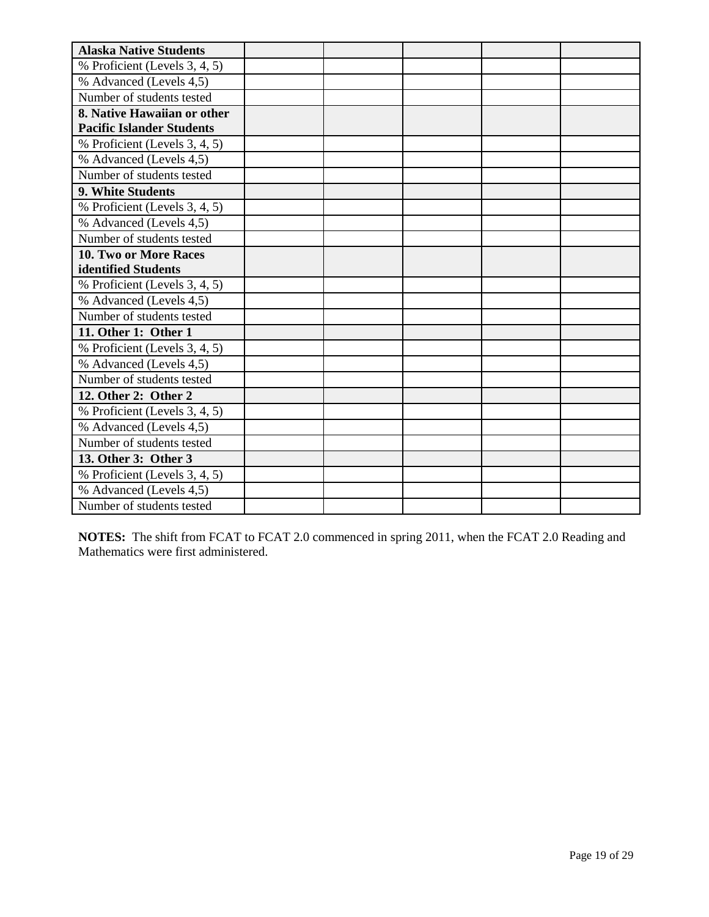| <b>Alaska Native Students</b>    |  |  |  |
|----------------------------------|--|--|--|
| % Proficient (Levels 3, 4, 5)    |  |  |  |
| % Advanced (Levels 4,5)          |  |  |  |
| Number of students tested        |  |  |  |
| 8. Native Hawaiian or other      |  |  |  |
| <b>Pacific Islander Students</b> |  |  |  |
| % Proficient (Levels 3, 4, 5)    |  |  |  |
| % Advanced (Levels 4,5)          |  |  |  |
| Number of students tested        |  |  |  |
| 9. White Students                |  |  |  |
| % Proficient (Levels 3, 4, 5)    |  |  |  |
| % Advanced (Levels 4,5)          |  |  |  |
| Number of students tested        |  |  |  |
| 10. Two or More Races            |  |  |  |
| identified Students              |  |  |  |
| % Proficient (Levels 3, 4, 5)    |  |  |  |
| % Advanced (Levels 4,5)          |  |  |  |
| Number of students tested        |  |  |  |
| 11. Other 1: Other 1             |  |  |  |
| % Proficient (Levels 3, 4, 5)    |  |  |  |
| % Advanced (Levels 4,5)          |  |  |  |
| Number of students tested        |  |  |  |
| 12. Other 2: Other 2             |  |  |  |
| % Proficient (Levels 3, 4, 5)    |  |  |  |
| % Advanced (Levels 4,5)          |  |  |  |
| Number of students tested        |  |  |  |
| 13. Other 3: Other 3             |  |  |  |
| % Proficient (Levels 3, 4, 5)    |  |  |  |
| % Advanced (Levels 4,5)          |  |  |  |
| Number of students tested        |  |  |  |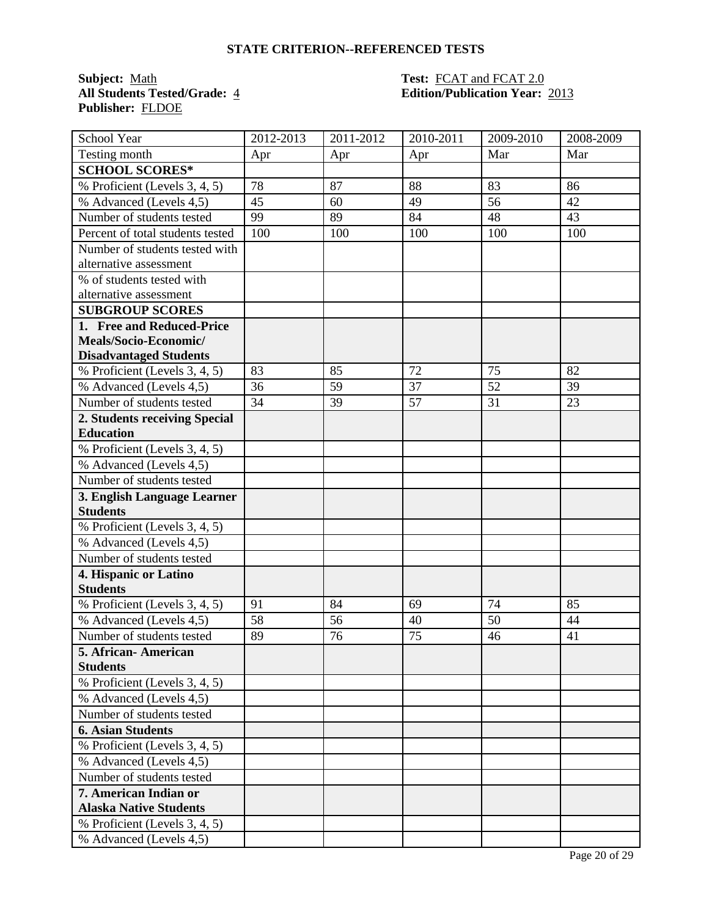**Subject:** <u>Math</u> **Test: FCAT** and **FCAT** 2.0 **Publisher:** FLDOE

# **All Students Tested/Grade:** 4 **Edition/Publication Year:** 2013

| School Year                      | 2012-2013 | $\overline{20}11 - 2012$ | 2010-2011 | 2009-2010 | 2008-2009 |
|----------------------------------|-----------|--------------------------|-----------|-----------|-----------|
| Testing month                    | Apr       | Apr                      | Apr       | Mar       | Mar       |
| <b>SCHOOL SCORES*</b>            |           |                          |           |           |           |
| % Proficient (Levels 3, 4, 5)    | 78        | 87                       | 88        | 83        | 86        |
| % Advanced (Levels 4,5)          | 45        | 60                       | 49        | 56        | 42        |
| Number of students tested        | 99        | 89                       | 84        | 48        | 43        |
| Percent of total students tested | 100       | 100                      | 100       | 100       | 100       |
| Number of students tested with   |           |                          |           |           |           |
| alternative assessment           |           |                          |           |           |           |
| % of students tested with        |           |                          |           |           |           |
| alternative assessment           |           |                          |           |           |           |
| <b>SUBGROUP SCORES</b>           |           |                          |           |           |           |
| 1. Free and Reduced-Price        |           |                          |           |           |           |
| Meals/Socio-Economic/            |           |                          |           |           |           |
| <b>Disadvantaged Students</b>    |           |                          |           |           |           |
| % Proficient (Levels 3, 4, 5)    | 83        | 85                       | 72        | 75        | 82        |
| % Advanced (Levels 4,5)          | 36        | 59                       | 37        | 52        | 39        |
| Number of students tested        | 34        | 39                       | 57        | 31        | 23        |
| 2. Students receiving Special    |           |                          |           |           |           |
| <b>Education</b>                 |           |                          |           |           |           |
| % Proficient (Levels 3, 4, 5)    |           |                          |           |           |           |
| % Advanced (Levels 4,5)          |           |                          |           |           |           |
| Number of students tested        |           |                          |           |           |           |
| 3. English Language Learner      |           |                          |           |           |           |
| <b>Students</b>                  |           |                          |           |           |           |
| % Proficient (Levels 3, 4, 5)    |           |                          |           |           |           |
| % Advanced (Levels 4,5)          |           |                          |           |           |           |
| Number of students tested        |           |                          |           |           |           |
| 4. Hispanic or Latino            |           |                          |           |           |           |
| <b>Students</b>                  |           |                          |           |           |           |
| % Proficient (Levels 3, 4, 5)    | 91        | 84                       | 69        | 74        | 85        |
| % Advanced (Levels 4,5)          | 58        | 56                       | 40        | 50        | 44        |
| Number of students tested        | 89        | 76                       | 75        | 46        | 41        |
| 5. African- American             |           |                          |           |           |           |
| <b>Students</b>                  |           |                          |           |           |           |
| % Proficient (Levels 3, 4, 5)    |           |                          |           |           |           |
| % Advanced (Levels 4,5)          |           |                          |           |           |           |
| Number of students tested        |           |                          |           |           |           |
| <b>6. Asian Students</b>         |           |                          |           |           |           |
| % Proficient (Levels 3, 4, 5)    |           |                          |           |           |           |
| % Advanced (Levels 4,5)          |           |                          |           |           |           |
| Number of students tested        |           |                          |           |           |           |
| 7. American Indian or            |           |                          |           |           |           |
| <b>Alaska Native Students</b>    |           |                          |           |           |           |
| % Proficient (Levels 3, 4, 5)    |           |                          |           |           |           |
| % Advanced (Levels 4,5)          |           |                          |           |           |           |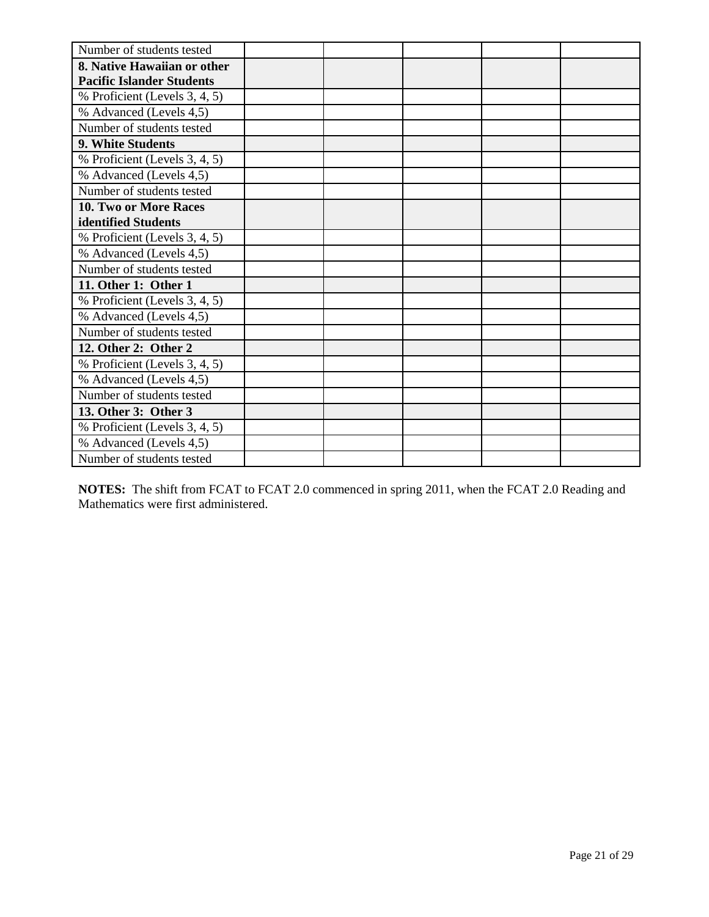| Number of students tested        |  |  |  |
|----------------------------------|--|--|--|
| 8. Native Hawaiian or other      |  |  |  |
| <b>Pacific Islander Students</b> |  |  |  |
| % Proficient (Levels 3, 4, 5)    |  |  |  |
| % Advanced (Levels 4,5)          |  |  |  |
| Number of students tested        |  |  |  |
| 9. White Students                |  |  |  |
| % Proficient (Levels 3, 4, 5)    |  |  |  |
| % Advanced (Levels 4,5)          |  |  |  |
| Number of students tested        |  |  |  |
| 10. Two or More Races            |  |  |  |
| identified Students              |  |  |  |
| % Proficient (Levels 3, 4, 5)    |  |  |  |
| % Advanced (Levels 4,5)          |  |  |  |
| Number of students tested        |  |  |  |
| 11. Other 1: Other 1             |  |  |  |
| % Proficient (Levels 3, 4, 5)    |  |  |  |
| % Advanced (Levels 4,5)          |  |  |  |
| Number of students tested        |  |  |  |
| 12. Other 2: Other 2             |  |  |  |
| % Proficient (Levels 3, 4, 5)    |  |  |  |
| % Advanced (Levels 4,5)          |  |  |  |
| Number of students tested        |  |  |  |
| 13. Other 3: Other 3             |  |  |  |
| % Proficient (Levels 3, 4, 5)    |  |  |  |
| % Advanced (Levels 4,5)          |  |  |  |
| Number of students tested        |  |  |  |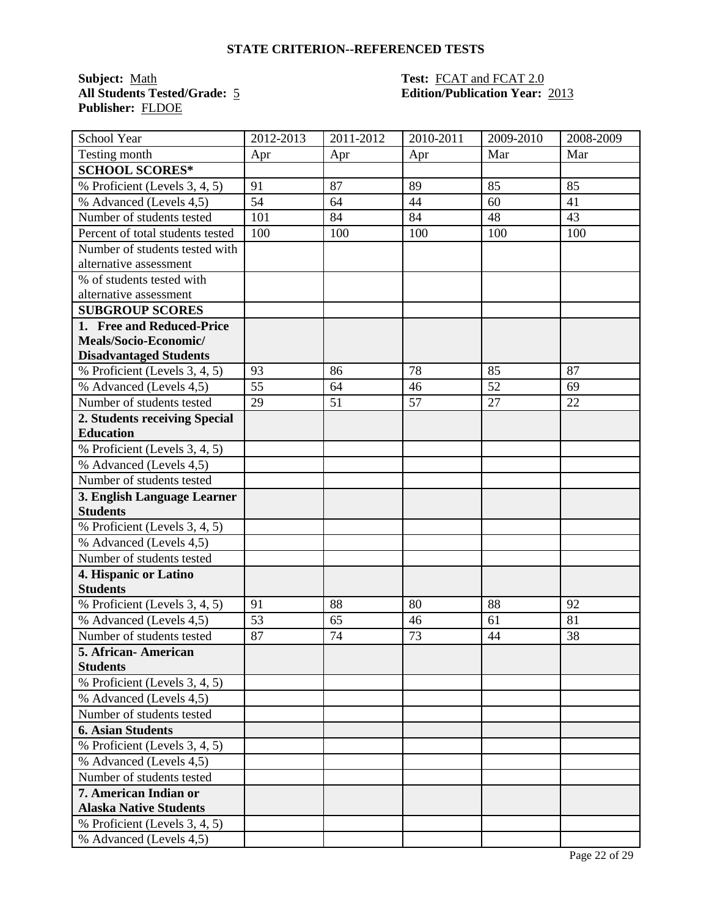**Subject:** <u>Math **Test: FCAT** and **FCAT** 2.0<br> **All Students Tested/Grade:** 5 **Edition/Publication Year:**</u> **Publisher:** FLDOE

# **All Students Tested/Grade:** 5 **Edition/Publication Year:** 2013

| School Year                      | $\overline{20}$ 12-2013 | 2011-2012 | 2010-2011 | 2009-2010 | 2008-2009 |
|----------------------------------|-------------------------|-----------|-----------|-----------|-----------|
| Testing month                    | Apr                     | Apr       | Apr       | Mar       | Mar       |
| <b>SCHOOL SCORES*</b>            |                         |           |           |           |           |
| % Proficient (Levels 3, 4, 5)    | 91                      | 87        | 89        | 85        | 85        |
| % Advanced (Levels 4,5)          | 54                      | 64        | 44        | 60        | 41        |
| Number of students tested        | 101                     | 84        | 84        | 48        | 43        |
| Percent of total students tested | 100                     | 100       | 100       | 100       | 100       |
| Number of students tested with   |                         |           |           |           |           |
| alternative assessment           |                         |           |           |           |           |
| % of students tested with        |                         |           |           |           |           |
| alternative assessment           |                         |           |           |           |           |
| <b>SUBGROUP SCORES</b>           |                         |           |           |           |           |
| 1. Free and Reduced-Price        |                         |           |           |           |           |
| Meals/Socio-Economic/            |                         |           |           |           |           |
| <b>Disadvantaged Students</b>    |                         |           |           |           |           |
| % Proficient (Levels 3, 4, 5)    | 93                      | 86        | 78        | 85        | 87        |
| % Advanced (Levels 4,5)          | 55                      | 64        | 46        | 52        | 69        |
| Number of students tested        | 29                      | 51        | 57        | 27        | 22        |
| 2. Students receiving Special    |                         |           |           |           |           |
| <b>Education</b>                 |                         |           |           |           |           |
| % Proficient (Levels 3, 4, 5)    |                         |           |           |           |           |
| % Advanced (Levels 4,5)          |                         |           |           |           |           |
| Number of students tested        |                         |           |           |           |           |
| 3. English Language Learner      |                         |           |           |           |           |
| <b>Students</b>                  |                         |           |           |           |           |
| % Proficient (Levels 3, 4, 5)    |                         |           |           |           |           |
| % Advanced (Levels 4,5)          |                         |           |           |           |           |
| Number of students tested        |                         |           |           |           |           |
| 4. Hispanic or Latino            |                         |           |           |           |           |
| <b>Students</b>                  |                         |           |           |           |           |
| % Proficient (Levels 3, 4, 5)    | 91                      | 88        | 80        | 88        | 92        |
| % Advanced (Levels 4,5)          | 53                      | 65        | 46        | 61        | 81        |
| Number of students tested        | 87                      | 74        | 73        | 44        | 38        |
| 5. African- American             |                         |           |           |           |           |
| <b>Students</b>                  |                         |           |           |           |           |
| % Proficient (Levels 3, 4, 5)    |                         |           |           |           |           |
| % Advanced (Levels 4,5)          |                         |           |           |           |           |
| Number of students tested        |                         |           |           |           |           |
| <b>6. Asian Students</b>         |                         |           |           |           |           |
| % Proficient (Levels 3, 4, 5)    |                         |           |           |           |           |
| % Advanced (Levels 4,5)          |                         |           |           |           |           |
| Number of students tested        |                         |           |           |           |           |
| 7. American Indian or            |                         |           |           |           |           |
| <b>Alaska Native Students</b>    |                         |           |           |           |           |
| % Proficient (Levels 3, 4, 5)    |                         |           |           |           |           |
| % Advanced (Levels 4,5)          |                         |           |           |           |           |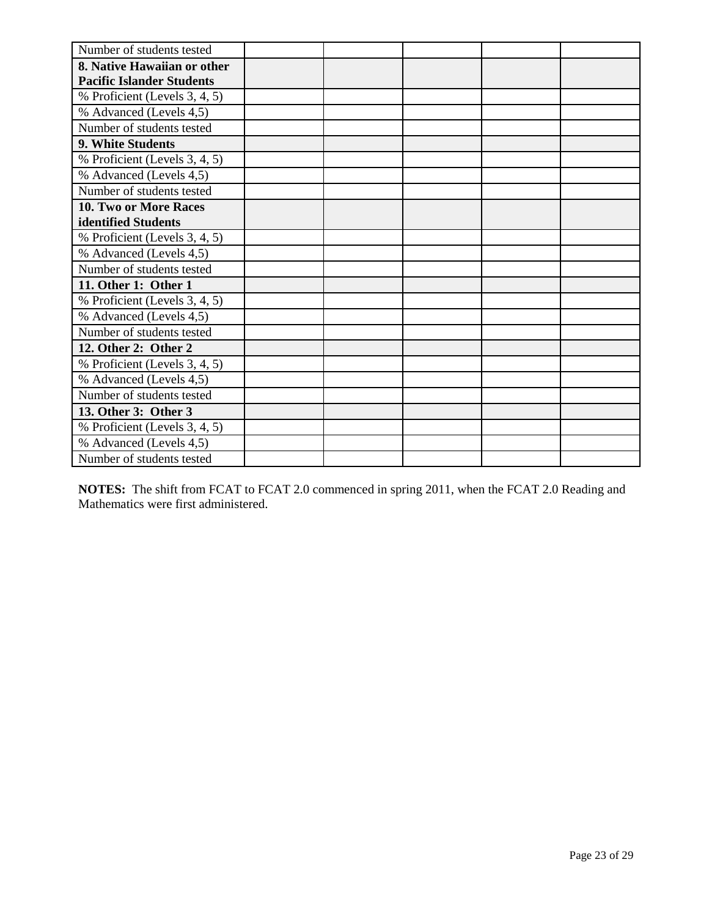| Number of students tested        |  |  |  |
|----------------------------------|--|--|--|
| 8. Native Hawaiian or other      |  |  |  |
| <b>Pacific Islander Students</b> |  |  |  |
| % Proficient (Levels 3, 4, 5)    |  |  |  |
| % Advanced (Levels 4,5)          |  |  |  |
| Number of students tested        |  |  |  |
| 9. White Students                |  |  |  |
| % Proficient (Levels 3, 4, 5)    |  |  |  |
| % Advanced (Levels 4,5)          |  |  |  |
| Number of students tested        |  |  |  |
| 10. Two or More Races            |  |  |  |
| identified Students              |  |  |  |
| % Proficient (Levels 3, 4, 5)    |  |  |  |
| % Advanced (Levels 4,5)          |  |  |  |
| Number of students tested        |  |  |  |
| 11. Other 1: Other 1             |  |  |  |
| % Proficient (Levels 3, 4, 5)    |  |  |  |
| % Advanced (Levels 4,5)          |  |  |  |
| Number of students tested        |  |  |  |
| 12. Other 2: Other 2             |  |  |  |
| % Proficient (Levels 3, 4, 5)    |  |  |  |
| % Advanced (Levels 4,5)          |  |  |  |
| Number of students tested        |  |  |  |
| 13. Other 3: Other 3             |  |  |  |
| % Proficient (Levels 3, 4, 5)    |  |  |  |
| % Advanced (Levels 4,5)          |  |  |  |
| Number of students tested        |  |  |  |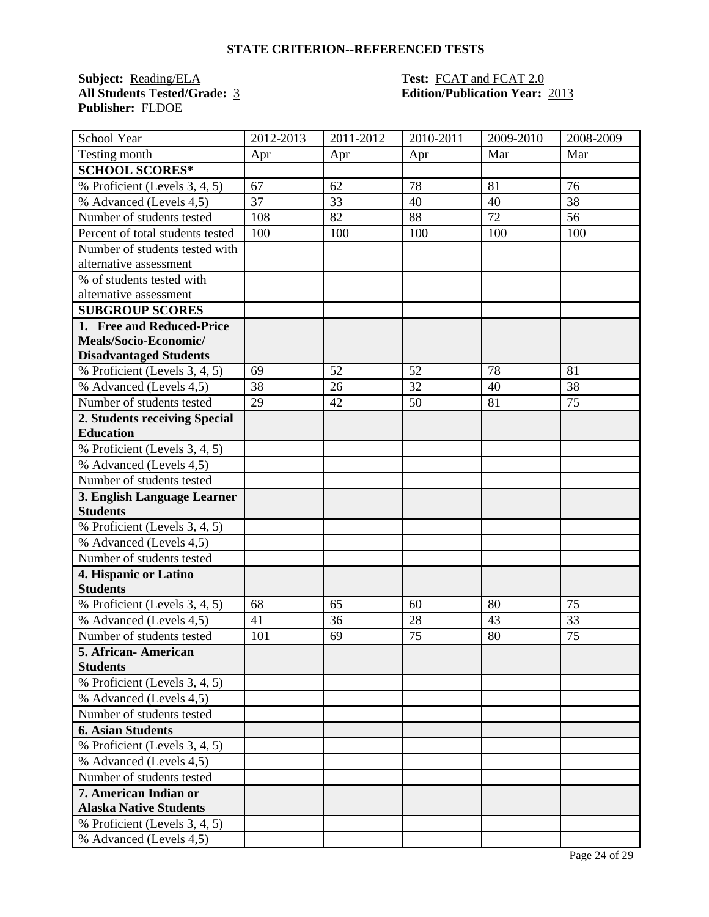**Subject:** <u>Reading/ELA</u> **Test: FCAT** and **FCAT** 2.0<br> **All Students Tested/Grade:** 3 **Edition/Publication Year: Publisher:** FLDOE

# **All Students Tested/Grade:** 3 **Edition/Publication Year:** 2013

| School Year                      | 2012-2013 | $\overline{20}11 - 2012$ | 2010-2011 | 2009-2010 | 2008-2009 |
|----------------------------------|-----------|--------------------------|-----------|-----------|-----------|
| Testing month                    | Apr       | Apr                      | Apr       | Mar       | Mar       |
| <b>SCHOOL SCORES*</b>            |           |                          |           |           |           |
| % Proficient (Levels 3, 4, 5)    | 67        | 62                       | 78        | 81        | 76        |
| % Advanced (Levels 4,5)          | 37        | 33                       | 40        | 40        | 38        |
| Number of students tested        | 108       | 82                       | 88        | 72        | 56        |
| Percent of total students tested | 100       | 100                      | 100       | 100       | 100       |
| Number of students tested with   |           |                          |           |           |           |
| alternative assessment           |           |                          |           |           |           |
| % of students tested with        |           |                          |           |           |           |
| alternative assessment           |           |                          |           |           |           |
| <b>SUBGROUP SCORES</b>           |           |                          |           |           |           |
| 1. Free and Reduced-Price        |           |                          |           |           |           |
| Meals/Socio-Economic/            |           |                          |           |           |           |
| <b>Disadvantaged Students</b>    |           |                          |           |           |           |
| % Proficient (Levels 3, 4, 5)    | 69        | 52                       | 52        | 78        | 81        |
| % Advanced (Levels 4,5)          | 38        | 26                       | 32        | 40        | 38        |
| Number of students tested        | 29        | 42                       | 50        | 81        | 75        |
| 2. Students receiving Special    |           |                          |           |           |           |
| <b>Education</b>                 |           |                          |           |           |           |
| % Proficient (Levels 3, 4, 5)    |           |                          |           |           |           |
| % Advanced (Levels 4,5)          |           |                          |           |           |           |
| Number of students tested        |           |                          |           |           |           |
| 3. English Language Learner      |           |                          |           |           |           |
| <b>Students</b>                  |           |                          |           |           |           |
| % Proficient (Levels 3, 4, 5)    |           |                          |           |           |           |
| % Advanced (Levels 4,5)          |           |                          |           |           |           |
| Number of students tested        |           |                          |           |           |           |
| 4. Hispanic or Latino            |           |                          |           |           |           |
| <b>Students</b>                  |           |                          |           |           |           |
| % Proficient (Levels 3, 4, 5)    | 68        | 65                       | 60        | 80        | 75        |
| % Advanced (Levels 4,5)          | 41        | 36                       | 28        | 43        | 33        |
| Number of students tested        | 101       | 69                       | 75        | 80        | 75        |
| 5. African- American             |           |                          |           |           |           |
| <b>Students</b>                  |           |                          |           |           |           |
| % Proficient (Levels 3, 4, 5)    |           |                          |           |           |           |
| % Advanced (Levels 4,5)          |           |                          |           |           |           |
| Number of students tested        |           |                          |           |           |           |
| <b>6. Asian Students</b>         |           |                          |           |           |           |
| % Proficient (Levels 3, 4, 5)    |           |                          |           |           |           |
| % Advanced (Levels 4,5)          |           |                          |           |           |           |
| Number of students tested        |           |                          |           |           |           |
| 7. American Indian or            |           |                          |           |           |           |
| <b>Alaska Native Students</b>    |           |                          |           |           |           |
| % Proficient (Levels 3, 4, 5)    |           |                          |           |           |           |
| % Advanced (Levels 4,5)          |           |                          |           |           |           |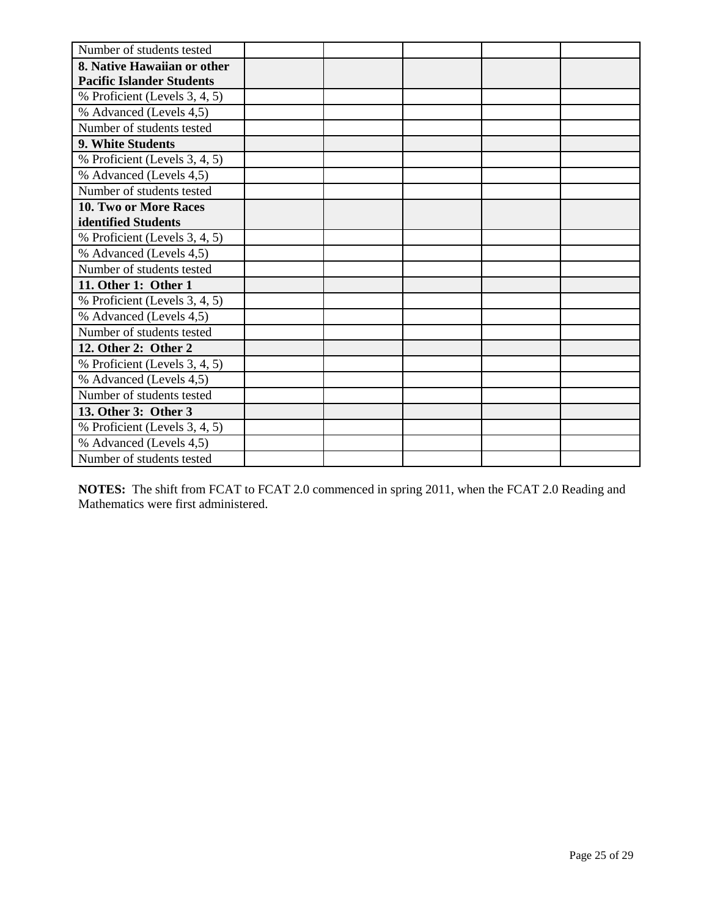| Number of students tested        |  |  |  |
|----------------------------------|--|--|--|
| 8. Native Hawaiian or other      |  |  |  |
| <b>Pacific Islander Students</b> |  |  |  |
| % Proficient (Levels 3, 4, 5)    |  |  |  |
| % Advanced (Levels 4,5)          |  |  |  |
| Number of students tested        |  |  |  |
| 9. White Students                |  |  |  |
| % Proficient (Levels 3, 4, 5)    |  |  |  |
| % Advanced (Levels 4,5)          |  |  |  |
| Number of students tested        |  |  |  |
| 10. Two or More Races            |  |  |  |
| identified Students              |  |  |  |
| % Proficient (Levels 3, 4, 5)    |  |  |  |
| % Advanced (Levels 4,5)          |  |  |  |
| Number of students tested        |  |  |  |
| 11. Other 1: Other 1             |  |  |  |
| % Proficient (Levels 3, 4, 5)    |  |  |  |
| % Advanced (Levels 4,5)          |  |  |  |
| Number of students tested        |  |  |  |
| 12. Other 2: Other 2             |  |  |  |
| % Proficient (Levels 3, 4, 5)    |  |  |  |
| % Advanced (Levels 4,5)          |  |  |  |
| Number of students tested        |  |  |  |
| 13. Other 3: Other 3             |  |  |  |
| % Proficient (Levels 3, 4, 5)    |  |  |  |
| % Advanced (Levels 4,5)          |  |  |  |
| Number of students tested        |  |  |  |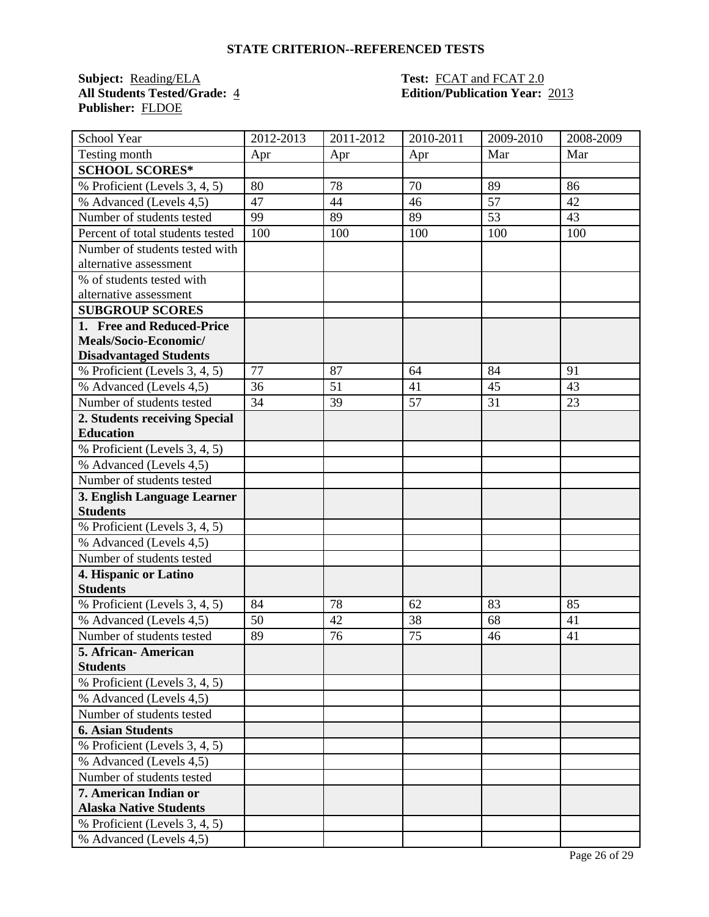**Subject:** <u>Reading/ELA</u> **Test: FCAT** and **FCAT** 2.0<br> **All Students Tested/Grade:** 4 **Edition/Publication Year: Publisher:** FLDOE

# **All Students Tested/Grade:** 4 **Edition/Publication Year:** 2013

| School Year                      | 2012-2013 | $\overline{20}11 - 2012$ | 2010-2011 | 2009-2010 | 2008-2009 |
|----------------------------------|-----------|--------------------------|-----------|-----------|-----------|
| Testing month                    | Apr       | Apr                      | Apr       | Mar       | Mar       |
| <b>SCHOOL SCORES*</b>            |           |                          |           |           |           |
| % Proficient (Levels 3, 4, 5)    | 80        | 78                       | 70        | 89        | 86        |
| % Advanced (Levels 4,5)          | 47        | 44                       | 46        | 57        | 42        |
| Number of students tested        | 99        | 89                       | 89        | 53        | 43        |
| Percent of total students tested | 100       | 100                      | 100       | 100       | 100       |
| Number of students tested with   |           |                          |           |           |           |
| alternative assessment           |           |                          |           |           |           |
| % of students tested with        |           |                          |           |           |           |
| alternative assessment           |           |                          |           |           |           |
| <b>SUBGROUP SCORES</b>           |           |                          |           |           |           |
| 1. Free and Reduced-Price        |           |                          |           |           |           |
| Meals/Socio-Economic/            |           |                          |           |           |           |
| <b>Disadvantaged Students</b>    |           |                          |           |           |           |
| % Proficient (Levels 3, 4, 5)    | 77        | 87                       | 64        | 84        | 91        |
| % Advanced (Levels 4,5)          | 36        | 51                       | 41        | 45        | 43        |
| Number of students tested        | 34        | 39                       | 57        | 31        | 23        |
| 2. Students receiving Special    |           |                          |           |           |           |
| <b>Education</b>                 |           |                          |           |           |           |
| % Proficient (Levels 3, 4, 5)    |           |                          |           |           |           |
| % Advanced (Levels 4,5)          |           |                          |           |           |           |
| Number of students tested        |           |                          |           |           |           |
| 3. English Language Learner      |           |                          |           |           |           |
| <b>Students</b>                  |           |                          |           |           |           |
| % Proficient (Levels 3, 4, 5)    |           |                          |           |           |           |
| % Advanced (Levels 4,5)          |           |                          |           |           |           |
| Number of students tested        |           |                          |           |           |           |
| 4. Hispanic or Latino            |           |                          |           |           |           |
| <b>Students</b>                  |           |                          |           |           |           |
| % Proficient (Levels 3, 4, 5)    | 84        | 78                       | 62        | 83        | 85        |
| % Advanced (Levels 4,5)          | 50        | 42                       | 38        | 68        | 41        |
| Number of students tested        | 89        | 76                       | 75        | 46        | 41        |
| 5. African- American             |           |                          |           |           |           |
| <b>Students</b>                  |           |                          |           |           |           |
| % Proficient (Levels 3, 4, 5)    |           |                          |           |           |           |
| % Advanced (Levels 4,5)          |           |                          |           |           |           |
| Number of students tested        |           |                          |           |           |           |
| <b>6. Asian Students</b>         |           |                          |           |           |           |
| % Proficient (Levels 3, 4, 5)    |           |                          |           |           |           |
| % Advanced (Levels 4,5)          |           |                          |           |           |           |
| Number of students tested        |           |                          |           |           |           |
| 7. American Indian or            |           |                          |           |           |           |
| <b>Alaska Native Students</b>    |           |                          |           |           |           |
| % Proficient (Levels 3, 4, 5)    |           |                          |           |           |           |
| % Advanced (Levels 4,5)          |           |                          |           |           |           |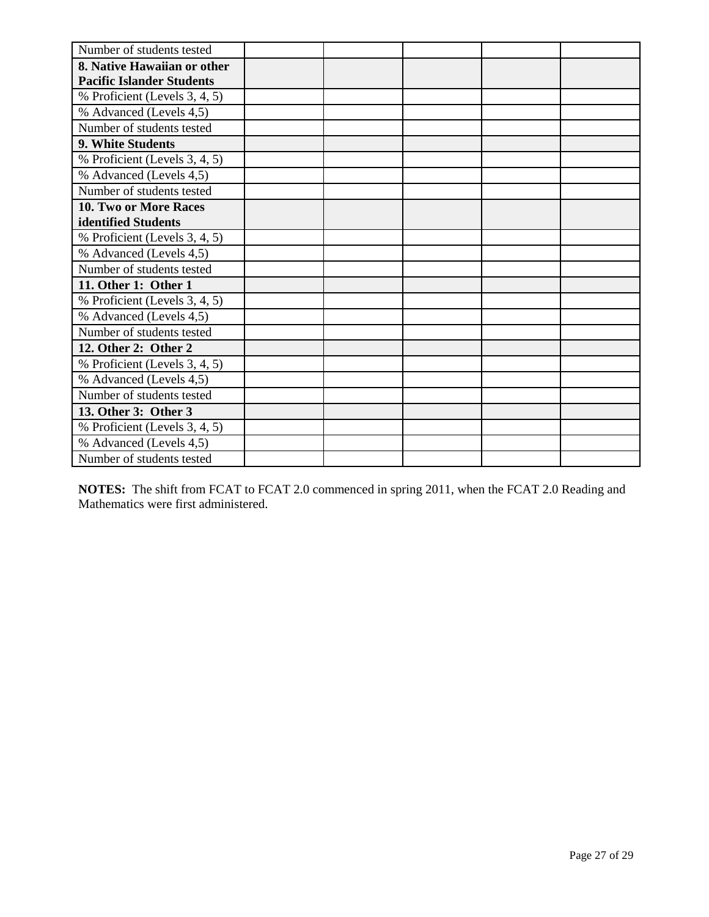| Number of students tested        |  |  |  |
|----------------------------------|--|--|--|
| 8. Native Hawaiian or other      |  |  |  |
| <b>Pacific Islander Students</b> |  |  |  |
| % Proficient (Levels 3, 4, 5)    |  |  |  |
| % Advanced (Levels 4,5)          |  |  |  |
| Number of students tested        |  |  |  |
| 9. White Students                |  |  |  |
| % Proficient (Levels 3, 4, 5)    |  |  |  |
| % Advanced (Levels 4,5)          |  |  |  |
| Number of students tested        |  |  |  |
| 10. Two or More Races            |  |  |  |
| identified Students              |  |  |  |
| % Proficient (Levels 3, 4, 5)    |  |  |  |
| % Advanced (Levels 4,5)          |  |  |  |
| Number of students tested        |  |  |  |
| 11. Other 1: Other 1             |  |  |  |
| % Proficient (Levels 3, 4, 5)    |  |  |  |
| % Advanced (Levels 4,5)          |  |  |  |
| Number of students tested        |  |  |  |
| 12. Other 2: Other 2             |  |  |  |
| % Proficient (Levels 3, 4, 5)    |  |  |  |
| % Advanced (Levels 4,5)          |  |  |  |
| Number of students tested        |  |  |  |
| 13. Other 3: Other 3             |  |  |  |
| % Proficient (Levels 3, 4, 5)    |  |  |  |
| % Advanced (Levels 4,5)          |  |  |  |
| Number of students tested        |  |  |  |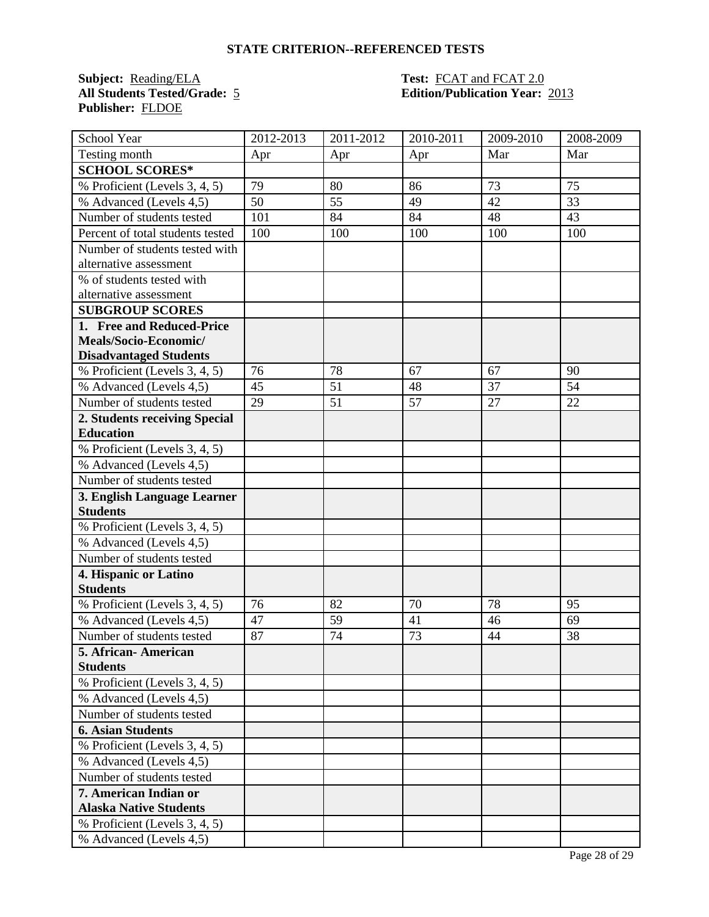**Subject:** <u>Reading/ELA</u> **Test: FCAT** and **FCAT** 2.0<br> **All Students Tested/Grade:** 5 **Edition/Publication Year: Publisher:** FLDOE

# **All Students Tested/Grade:** 5 **Edition/Publication Year:** 2013

| School Year                      | 2012-2013 | 2011-2012 | 2010-2011 | 2009-2010 | 2008-2009 |
|----------------------------------|-----------|-----------|-----------|-----------|-----------|
| Testing month                    | Apr       | Apr       | Apr       | Mar       | Mar       |
| <b>SCHOOL SCORES*</b>            |           |           |           |           |           |
| % Proficient (Levels 3, 4, 5)    | 79        | 80        | 86        | 73        | 75        |
| % Advanced (Levels 4,5)          | 50        | 55        | 49        | 42        | 33        |
| Number of students tested        | 101       | 84        | 84        | 48        | 43        |
| Percent of total students tested | 100       | 100       | 100       | 100       | 100       |
| Number of students tested with   |           |           |           |           |           |
| alternative assessment           |           |           |           |           |           |
| % of students tested with        |           |           |           |           |           |
| alternative assessment           |           |           |           |           |           |
| <b>SUBGROUP SCORES</b>           |           |           |           |           |           |
| 1. Free and Reduced-Price        |           |           |           |           |           |
| Meals/Socio-Economic/            |           |           |           |           |           |
| <b>Disadvantaged Students</b>    |           |           |           |           |           |
| % Proficient (Levels 3, 4, 5)    | 76        | 78        | 67        | 67        | 90        |
| % Advanced (Levels 4,5)          | 45        | 51        | 48        | 37        | 54        |
| Number of students tested        | 29        | 51        | 57        | 27        | 22        |
| 2. Students receiving Special    |           |           |           |           |           |
| <b>Education</b>                 |           |           |           |           |           |
| % Proficient (Levels 3, 4, 5)    |           |           |           |           |           |
| % Advanced (Levels 4,5)          |           |           |           |           |           |
| Number of students tested        |           |           |           |           |           |
| 3. English Language Learner      |           |           |           |           |           |
| <b>Students</b>                  |           |           |           |           |           |
| % Proficient (Levels 3, 4, 5)    |           |           |           |           |           |
| % Advanced (Levels 4,5)          |           |           |           |           |           |
| Number of students tested        |           |           |           |           |           |
| 4. Hispanic or Latino            |           |           |           |           |           |
| <b>Students</b>                  |           |           |           |           |           |
| % Proficient (Levels 3, 4, 5)    | 76        | 82        | 70        | 78        | 95        |
| % Advanced (Levels 4,5)          | 47        | 59        | 41        | 46        | 69        |
| Number of students tested        | 87        | 74        | 73        | 44        | 38        |
| 5. African- American             |           |           |           |           |           |
| <b>Students</b>                  |           |           |           |           |           |
| % Proficient (Levels 3, 4, 5)    |           |           |           |           |           |
| % Advanced (Levels 4,5)          |           |           |           |           |           |
| Number of students tested        |           |           |           |           |           |
| <b>6. Asian Students</b>         |           |           |           |           |           |
| % Proficient (Levels 3, 4, 5)    |           |           |           |           |           |
| % Advanced (Levels 4,5)          |           |           |           |           |           |
| Number of students tested        |           |           |           |           |           |
| 7. American Indian or            |           |           |           |           |           |
| <b>Alaska Native Students</b>    |           |           |           |           |           |
| % Proficient (Levels 3, 4, 5)    |           |           |           |           |           |
| % Advanced (Levels 4,5)          |           |           |           |           |           |